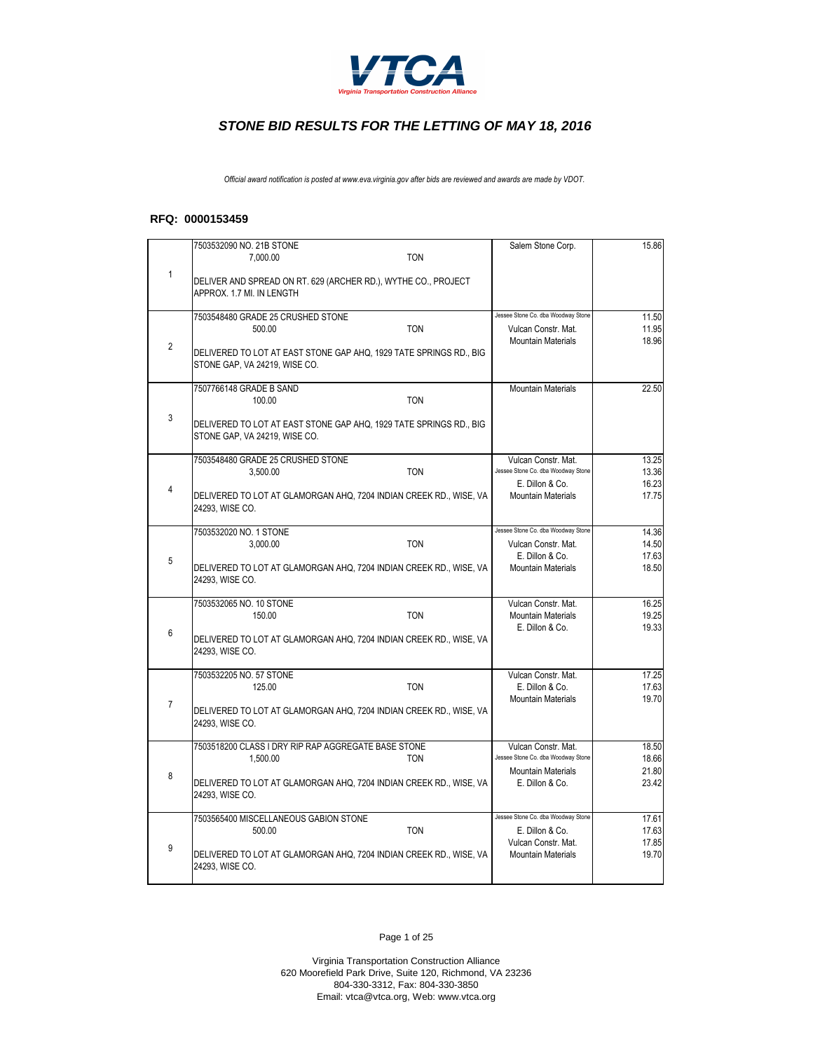

*Official award notification is posted at www.eva.virginia.gov after bids are reviewed and awards are made by VDOT.*

#### **RFQ: 0000153459**

|                | 7503532090 NO. 21B STONE                                                                            |            | Salem Stone Corp.                                         | 15.86          |
|----------------|-----------------------------------------------------------------------------------------------------|------------|-----------------------------------------------------------|----------------|
|                | 7.000.00                                                                                            | <b>TON</b> |                                                           |                |
| $\mathbf{1}$   | DELIVER AND SPREAD ON RT. 629 (ARCHER RD.), WYTHE CO., PROJECT                                      |            |                                                           |                |
|                | APPROX. 1.7 MI. IN LENGTH                                                                           |            |                                                           |                |
|                | 7503548480 GRADE 25 CRUSHED STONE                                                                   |            | Jessee Stone Co. dba Woodway Stone                        | 11.50          |
|                | 500.00                                                                                              | <b>TON</b> | Vulcan Constr. Mat.                                       | 11.95          |
| $\overline{2}$ | DELIVERED TO LOT AT EAST STONE GAP AHQ, 1929 TATE SPRINGS RD., BIG                                  |            | <b>Mountain Materials</b>                                 | 18.96          |
|                | STONE GAP, VA 24219, WISE CO.                                                                       |            |                                                           |                |
|                |                                                                                                     |            |                                                           |                |
|                | 7507766148 GRADE B SAND<br>100.00                                                                   | <b>TON</b> | <b>Mountain Materials</b>                                 | 22.50          |
| 3              |                                                                                                     |            |                                                           |                |
|                | DELIVERED TO LOT AT EAST STONE GAP AHQ, 1929 TATE SPRINGS RD., BIG<br>STONE GAP, VA 24219, WISE CO. |            |                                                           |                |
|                |                                                                                                     |            |                                                           |                |
|                | 7503548480 GRADE 25 CRUSHED STONE                                                                   |            | Vulcan Constr. Mat.<br>Jessee Stone Co. dba Woodway Stone | 13.25          |
|                | 3,500.00                                                                                            | <b>TON</b> | E. Dillon & Co.                                           | 13.36<br>16.23 |
| $\overline{4}$ | DELIVERED TO LOT AT GLAMORGAN AHQ, 7204 INDIAN CREEK RD., WISE, VA                                  |            | <b>Mountain Materials</b>                                 | 17.75          |
|                | 24293, WISE CO.                                                                                     |            |                                                           |                |
|                | 7503532020 NO. 1 STONE                                                                              |            | Jessee Stone Co. dba Woodway Stone                        | 14.36          |
|                | 3,000.00                                                                                            | <b>TON</b> | Vulcan Constr. Mat.                                       | 14.50          |
| 5              | DELIVERED TO LOT AT GLAMORGAN AHQ, 7204 INDIAN CREEK RD., WISE, VA                                  |            | E. Dillon & Co.<br><b>Mountain Materials</b>              | 17.63<br>18.50 |
|                | 24293, WISE CO.                                                                                     |            |                                                           |                |
|                | 7503532065 NO. 10 STONE                                                                             |            | Vulcan Constr. Mat.                                       | 16.25          |
|                | 150.00                                                                                              | <b>TON</b> | <b>Mountain Materials</b>                                 | 19.25          |
| 6              | DELIVERED TO LOT AT GLAMORGAN AHQ, 7204 INDIAN CREEK RD., WISE, VA                                  |            | E. Dillon & Co.                                           | 19.33          |
|                | 24293, WISE CO.                                                                                     |            |                                                           |                |
|                |                                                                                                     |            |                                                           |                |
|                | 7503532205 NO. 57 STONE<br>125.00                                                                   | <b>TON</b> | Vulcan Constr. Mat.<br>E. Dillon & Co.                    | 17.25<br>17.63 |
| $\overline{7}$ |                                                                                                     |            | <b>Mountain Materials</b>                                 | 19.70          |
|                | DELIVERED TO LOT AT GLAMORGAN AHQ, 7204 INDIAN CREEK RD., WISE, VA<br>24293, WISE CO.               |            |                                                           |                |
|                |                                                                                                     |            |                                                           |                |
|                | 7503518200 CLASS I DRY RIP RAP AGGREGATE BASE STONE                                                 |            | Vulcan Constr. Mat.<br>Jessee Stone Co. dba Woodway Stone | 18.50          |
|                | 1,500.00                                                                                            | <b>TON</b> | <b>Mountain Materials</b>                                 | 18.66<br>21.80 |
| 8              | DELIVERED TO LOT AT GLAMORGAN AHQ, 7204 INDIAN CREEK RD., WISE, VA                                  |            | E. Dillon & Co.                                           | 23.42          |
|                | 24293, WISE CO.                                                                                     |            |                                                           |                |
|                | 7503565400 MISCELLANEOUS GABION STONE                                                               |            | Jessee Stone Co. dba Woodway Stone                        | 17.61          |
|                | 500.00                                                                                              | <b>TON</b> | E. Dillon & Co.<br>Vulcan Constr. Mat.                    | 17.63<br>17.85 |
| 9              | DELIVERED TO LOT AT GLAMORGAN AHQ, 7204 INDIAN CREEK RD., WISE, VA                                  |            | <b>Mountain Materials</b>                                 | 19.70          |
|                | 24293, WISE CO.                                                                                     |            |                                                           |                |
|                |                                                                                                     |            |                                                           |                |

Page 1 of 25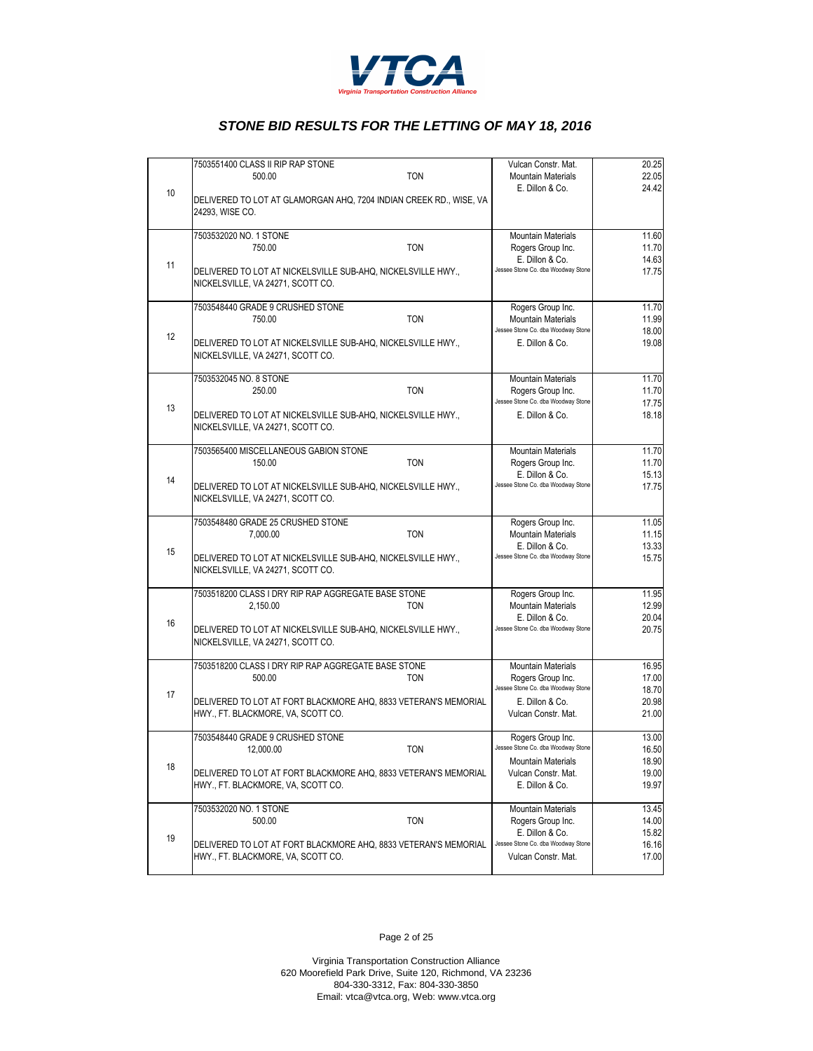

|    | 7503551400 CLASS II RIP RAP STONE                                                                     | Vulcan Constr. Mat.                    | 20.25          |
|----|-------------------------------------------------------------------------------------------------------|----------------------------------------|----------------|
|    | <b>TON</b><br>500.00                                                                                  | <b>Mountain Materials</b>              | 22.05          |
| 10 | DELIVERED TO LOT AT GLAMORGAN AHQ, 7204 INDIAN CREEK RD., WISE, VA<br>24293, WISE CO.                 | E. Dillon & Co.                        | 24.42          |
|    | 7503532020 NO. 1 STONE                                                                                | <b>Mountain Materials</b>              | 11.60          |
|    | <b>TON</b><br>750.00                                                                                  | Rogers Group Inc.                      | 11.70          |
|    |                                                                                                       | E. Dillon & Co.                        | 14.63          |
| 11 | DELIVERED TO LOT AT NICKELSVILLE SUB-AHQ, NICKELSVILLE HWY.,<br>NICKELSVILLE, VA 24271, SCOTT CO.     | Jessee Stone Co. dba Woodway Stone     | 17.75          |
|    | 7503548440 GRADE 9 CRUSHED STONE                                                                      | Rogers Group Inc.                      | 11.70          |
|    | <b>TON</b><br>750.00                                                                                  | <b>Mountain Materials</b>              | 11.99          |
|    |                                                                                                       | Jessee Stone Co. dba Woodway Stone     | 18.00          |
| 12 | DELIVERED TO LOT AT NICKELSVILLE SUB-AHQ, NICKELSVILLE HWY.,<br>NICKELSVILLE, VA 24271, SCOTT CO.     | E. Dillon & Co.                        | 19.08          |
|    | 7503532045 NO. 8 STONE                                                                                | <b>Mountain Materials</b>              | 11.70          |
|    | <b>TON</b><br>250.00                                                                                  | Rogers Group Inc.                      | 11.70          |
|    |                                                                                                       | Jessee Stone Co. dba Woodway Stone     | 17.75          |
| 13 | DELIVERED TO LOT AT NICKELSVILLE SUB-AHQ, NICKELSVILLE HWY.,<br>NICKELSVILLE, VA 24271, SCOTT CO.     | E. Dillon & Co.                        | 18.18          |
|    | 7503565400 MISCELLANEOUS GABION STONE                                                                 | <b>Mountain Materials</b>              | 11.70          |
|    | <b>TON</b><br>150.00                                                                                  | Rogers Group Inc.                      | 11.70          |
|    |                                                                                                       | E. Dillon & Co.                        | 15.13          |
| 14 | DELIVERED TO LOT AT NICKELSVILLE SUB-AHQ, NICKELSVILLE HWY.,<br>NICKELSVILLE, VA 24271, SCOTT CO.     | Jessee Stone Co. dba Woodway Stone     | 17.75          |
|    | 7503548480 GRADE 25 CRUSHED STONE                                                                     | Rogers Group Inc.                      | 11.05          |
|    | <b>TON</b><br>7,000.00                                                                                | <b>Mountain Materials</b>              | 11.15          |
|    |                                                                                                       | E. Dillon & Co.                        | 13.33          |
| 15 | DELIVERED TO LOT AT NICKELSVILLE SUB-AHQ, NICKELSVILLE HWY.,<br>NICKELSVILLE, VA 24271, SCOTT CO.     | Jessee Stone Co. dba Woodway Stone     | 15.75          |
|    | 7503518200 CLASS I DRY RIP RAP AGGREGATE BASE STONE                                                   | Rogers Group Inc.                      | 11.95          |
|    | 2,150.00<br><b>TON</b>                                                                                | <b>Mountain Materials</b>              | 12.99          |
|    |                                                                                                       | E. Dillon & Co.                        | 20.04          |
| 16 | DELIVERED TO LOT AT NICKELSVILLE SUB-AHQ, NICKELSVILLE HWY.,<br>NICKELSVILLE, VA 24271, SCOTT CO.     | Jessee Stone Co. dba Woodway Stone     | 20.75          |
|    | 7503518200 CLASS I DRY RIP RAP AGGREGATE BASE STONE                                                   | <b>Mountain Materials</b>              | 16.95          |
|    | <b>TON</b><br>500.00                                                                                  | Rogers Group Inc.                      | 17.00          |
| 17 |                                                                                                       | Jessee Stone Co. dba Woodway Stone     | 18.70          |
|    | DELIVERED TO LOT AT FORT BLACKMORE AHQ, 8833 VETERAN'S MEMORIAL                                       | E. Dillon & Co.                        | 20.98          |
|    | HWY., FT. BLACKMORE, VA, SCOTT CO.                                                                    | Vulcan Constr. Mat.                    | 21.00          |
|    | 7503548440 GRADE 9 CRUSHED STONE                                                                      | Rogers Group Inc.                      | 13.00          |
|    | TON<br>12,000.00                                                                                      | Jessee Stone Co. dba Woodway Stone     | 16.50          |
| 18 |                                                                                                       | <b>Mountain Materials</b>              | 18.90          |
|    | DELIVERED TO LOT AT FORT BLACKMORE AHQ, 8833 VETERAN'S MEMORIAL<br>HWY., FT. BLACKMORE, VA, SCOTT CO. | Vulcan Constr. Mat.<br>E. Dillon & Co. | 19.00<br>19.97 |
|    | 7503532020 NO. 1 STONE                                                                                | <b>Mountain Materials</b>              | 13.45          |
|    | 500.00<br><b>TON</b>                                                                                  | Rogers Group Inc.                      | 14.00          |
|    |                                                                                                       | E. Dillon & Co.                        | 15.82          |
| 19 | DELIVERED TO LOT AT FORT BLACKMORE AHQ, 8833 VETERAN'S MEMORIAL                                       | Jessee Stone Co. dba Woodway Stone     | 16.16          |
|    | HWY., FT. BLACKMORE, VA, SCOTT CO.                                                                    | Vulcan Constr. Mat.                    | 17.00          |
|    |                                                                                                       |                                        |                |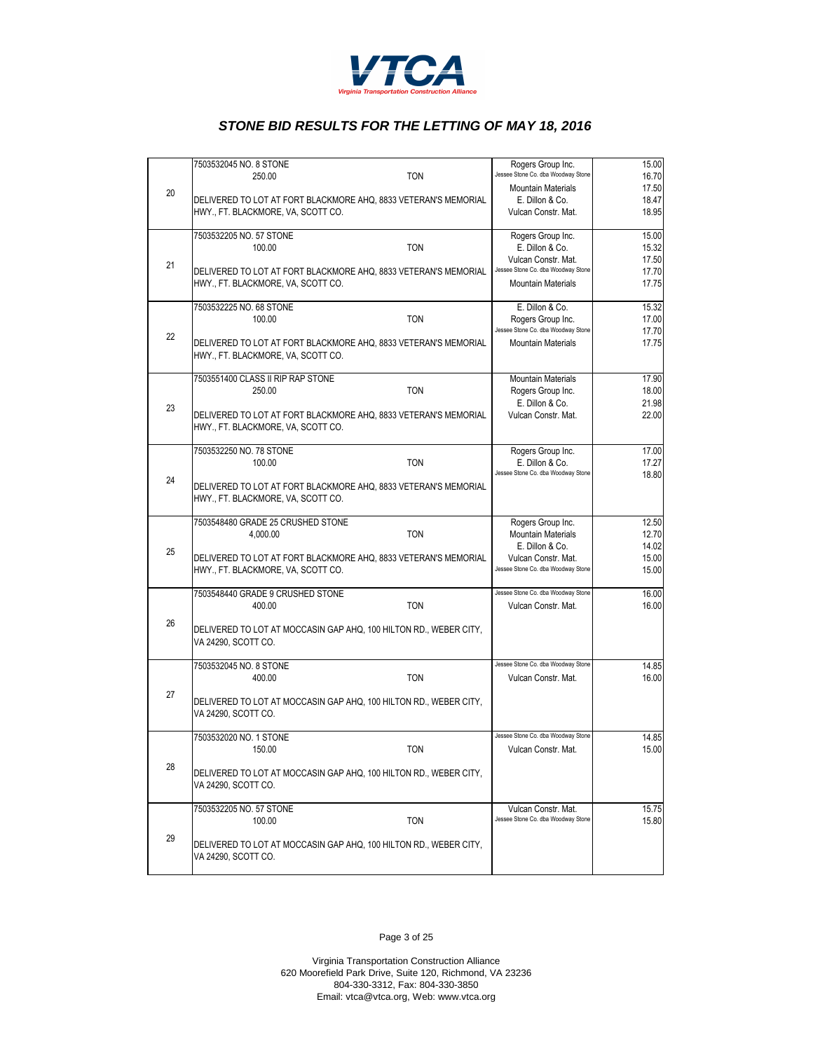

|    | 7503532045 NO. 8 STONE                                                                                | Rogers Group Inc.                                               | 15.00                            |
|----|-------------------------------------------------------------------------------------------------------|-----------------------------------------------------------------|----------------------------------|
|    | <b>TON</b><br>250.00                                                                                  | Jessee Stone Co. dba Woodway Stone                              | 16.70                            |
| 20 |                                                                                                       | <b>Mountain Materials</b>                                       | 17.50                            |
|    | DELIVERED TO LOT AT FORT BLACKMORE AHQ, 8833 VETERAN'S MEMORIAL                                       | E. Dillon & Co.                                                 | 18.47                            |
|    | HWY., FT. BLACKMORE, VA, SCOTT CO.                                                                    | Vulcan Constr. Mat.                                             | 18.95                            |
|    | 7503532205 NO. 57 STONE                                                                               | Rogers Group Inc.                                               | 15.00                            |
|    | <b>TON</b><br>100.00                                                                                  | E. Dillon & Co.                                                 | 15.32                            |
| 21 |                                                                                                       | Vulcan Constr. Mat.                                             | 17.50                            |
|    | DELIVERED TO LOT AT FORT BLACKMORE AHQ, 8833 VETERAN'S MEMORIAL                                       | Jessee Stone Co. dba Woodway Stone                              | 17.70                            |
|    | HWY., FT. BLACKMORE, VA, SCOTT CO.                                                                    | <b>Mountain Materials</b>                                       | 17.75                            |
|    | 7503532225 NO. 68 STONE                                                                               | E. Dillon & Co.                                                 | 15.32                            |
|    | 100.00<br><b>TON</b>                                                                                  | Rogers Group Inc.                                               | 17.00                            |
| 22 |                                                                                                       | Jessee Stone Co. dba Woodway Stone<br><b>Mountain Materials</b> | 17.70                            |
|    | DELIVERED TO LOT AT FORT BLACKMORE AHQ, 8833 VETERAN'S MEMORIAL<br>HWY., FT. BLACKMORE, VA, SCOTT CO. |                                                                 | 17.75                            |
|    | 7503551400 CLASS II RIP RAP STONE                                                                     | <b>Mountain Materials</b>                                       | 17.90                            |
|    | <b>TON</b><br>250.00                                                                                  | Rogers Group Inc.                                               | 18.00                            |
| 23 |                                                                                                       | E. Dillon & Co.                                                 | 21.98                            |
|    | DELIVERED TO LOT AT FORT BLACKMORE AHQ, 8833 VETERAN'S MEMORIAL<br>HWY., FT. BLACKMORE, VA, SCOTT CO. | Vulcan Constr. Mat.                                             | 22.00                            |
|    |                                                                                                       |                                                                 |                                  |
|    | 7503532250 NO. 78 STONE                                                                               | Rogers Group Inc.                                               | 17.00                            |
|    | 100.00<br><b>TON</b>                                                                                  | E. Dillon & Co.<br>Jessee Stone Co. dba Woodway Stone           | 17.27                            |
| 24 | DELIVERED TO LOT AT FORT BLACKMORE AHQ, 8833 VETERAN'S MEMORIAL                                       |                                                                 | 18.80                            |
|    | HWY., FT. BLACKMORE, VA, SCOTT CO.                                                                    |                                                                 |                                  |
|    |                                                                                                       |                                                                 |                                  |
|    | 7503548480 GRADE 25 CRUSHED STONE                                                                     | Rogers Group Inc.                                               | 12.50                            |
|    | <b>TON</b><br>4,000.00                                                                                | <b>Mountain Materials</b><br>E. Dillon & Co.                    | 12.70<br>14.02                   |
| 25 | DELIVERED TO LOT AT FORT BLACKMORE AHQ, 8833 VETERAN'S MEMORIAL                                       | Vulcan Constr. Mat.                                             | 15.00                            |
|    | HWY., FT. BLACKMORE, VA, SCOTT CO.                                                                    | Jessee Stone Co. dba Woodway Stone                              | 15.00                            |
|    | 7503548440 GRADE 9 CRUSHED STONE                                                                      | Jessee Stone Co. dba Woodway Stone                              | 16.00                            |
|    | <b>TON</b><br>400.00                                                                                  | Vulcan Constr. Mat.                                             | 16.00                            |
| 26 |                                                                                                       |                                                                 |                                  |
|    | DELIVERED TO LOT AT MOCCASIN GAP AHQ, 100 HILTON RD., WEBER CITY,                                     |                                                                 |                                  |
|    | VA 24290, SCOTT CO.                                                                                   |                                                                 |                                  |
|    | 7503532045 NO. 8 STONE                                                                                | Jessee Stone Co. dba Woodway Stone                              | 14.85                            |
|    | <b>TON</b><br>400.00                                                                                  | Vulcan Constr. Mat.                                             | 16.00                            |
|    |                                                                                                       |                                                                 |                                  |
| 27 |                                                                                                       |                                                                 |                                  |
|    | DELIVERED TO LOT AT MOCCASIN GAP AHQ, 100 HILTON RD., WEBER CITY,                                     |                                                                 |                                  |
|    | VA 24290, SCOTT CO.                                                                                   |                                                                 |                                  |
|    | 7503532020 NO. 1 STONE                                                                                | Jessee Stone Co. dba Woodway Stone                              |                                  |
|    | 150.00<br><b>TON</b>                                                                                  | Vulcan Constr. Mat.                                             |                                  |
| 28 |                                                                                                       |                                                                 |                                  |
|    | DELIVERED TO LOT AT MOCCASIN GAP AHQ, 100 HILTON RD., WEBER CITY,<br>VA 24290, SCOTT CO.              |                                                                 |                                  |
|    |                                                                                                       |                                                                 |                                  |
|    | 7503532205 NO. 57 STONE                                                                               | Vulcan Constr. Mat.<br>Jessee Stone Co. dba Woodway Stone       |                                  |
|    | 100.00<br><b>TON</b>                                                                                  |                                                                 | 14.85<br>15.00<br>15.75<br>15.80 |
| 29 | DELIVERED TO LOT AT MOCCASIN GAP AHQ, 100 HILTON RD., WEBER CITY,                                     |                                                                 |                                  |
|    | VA 24290, SCOTT CO.                                                                                   |                                                                 |                                  |

Page 3 of 25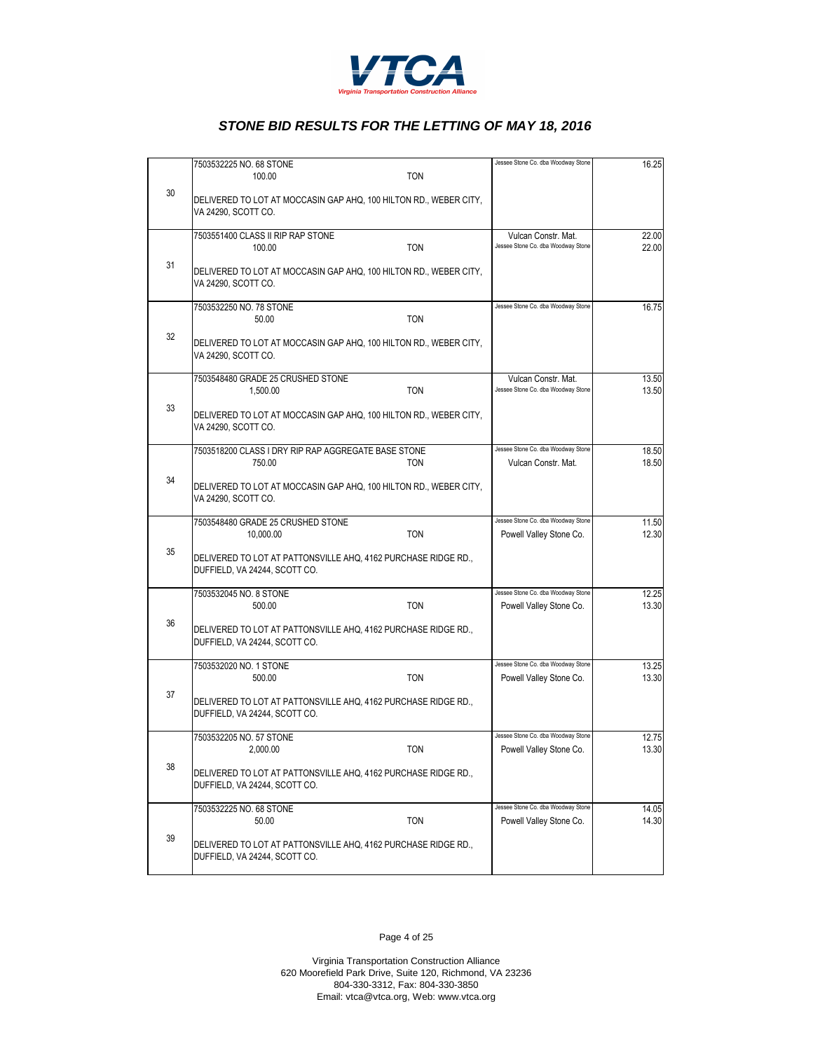

|    | 7503532225 NO. 68 STONE                                                                         | Jessee Stone Co. dba Woodway Stone | 16.25 |
|----|-------------------------------------------------------------------------------------------------|------------------------------------|-------|
|    | 100.00<br><b>TON</b>                                                                            |                                    |       |
| 30 | DELIVERED TO LOT AT MOCCASIN GAP AHQ, 100 HILTON RD., WEBER CITY,<br>VA 24290, SCOTT CO.        |                                    |       |
|    | 7503551400 CLASS II RIP RAP STONE                                                               | Vulcan Constr. Mat.                | 22.00 |
|    | <b>TON</b><br>100.00                                                                            | Jessee Stone Co. dba Woodway Stone | 22.00 |
| 31 | DELIVERED TO LOT AT MOCCASIN GAP AHQ, 100 HILTON RD., WEBER CITY,<br>VA 24290, SCOTT CO.        |                                    |       |
|    | 7503532250 NO. 78 STONE                                                                         | Jessee Stone Co. dba Woodway Stone | 16.75 |
|    | 50.00<br><b>TON</b>                                                                             |                                    |       |
| 32 | DELIVERED TO LOT AT MOCCASIN GAP AHQ, 100 HILTON RD., WEBER CITY,<br>VA 24290, SCOTT CO.        |                                    |       |
|    | 7503548480 GRADE 25 CRUSHED STONE                                                               | Vulcan Constr. Mat.                | 13.50 |
|    | <b>TON</b><br>1,500.00                                                                          | Jessee Stone Co. dba Woodway Stone | 13.50 |
| 33 | DELIVERED TO LOT AT MOCCASIN GAP AHQ, 100 HILTON RD., WEBER CITY,<br>VA 24290, SCOTT CO.        |                                    |       |
|    | 7503518200 CLASS I DRY RIP RAP AGGREGATE BASE STONE                                             | Jessee Stone Co. dba Woodway Stone | 18.50 |
|    | 750.00<br><b>TON</b>                                                                            | Vulcan Constr. Mat.                | 18.50 |
| 34 | DELIVERED TO LOT AT MOCCASIN GAP AHQ, 100 HILTON RD., WEBER CITY,<br>VA 24290, SCOTT CO.        |                                    |       |
|    | 7503548480 GRADE 25 CRUSHED STONE                                                               | Jessee Stone Co. dba Woodway Stone | 11.50 |
|    | <b>TON</b><br>10,000.00                                                                         | Powell Valley Stone Co.            | 12.30 |
| 35 | DELIVERED TO LOT AT PATTONSVILLE AHQ, 4162 PURCHASE RIDGE RD.,<br>DUFFIELD, VA 24244, SCOTT CO. |                                    |       |
|    | 7503532045 NO. 8 STONE                                                                          | Jessee Stone Co. dba Woodway Stone | 12.25 |
|    | <b>TON</b><br>500.00                                                                            | Powell Valley Stone Co.            | 13.30 |
| 36 | DELIVERED TO LOT AT PATTONSVILLE AHQ, 4162 PURCHASE RIDGE RD.,<br>DUFFIELD, VA 24244, SCOTT CO. |                                    |       |
|    | 7503532020 NO. 1 STONE                                                                          | Jessee Stone Co. dba Woodway Stone | 13.25 |
|    | 500.00<br><b>TON</b>                                                                            | Powell Valley Stone Co.            | 13.30 |
| 37 | DELIVERED TO LOT AT PATTONSVILLE AHQ, 4162 PURCHASE RIDGE RD.,<br>DUFFIELD, VA 24244, SCOTT CO. |                                    |       |
|    | 7503532205 NO. 57 STONE                                                                         | Jessee Stone Co. dba Woodway Stone | 12.75 |
|    | 2,000.00<br><b>TON</b>                                                                          | Powell Valley Stone Co.            | 13.30 |
| 38 | DELIVERED TO LOT AT PATTONSVILLE AHQ, 4162 PURCHASE RIDGE RD.,<br>DUFFIELD, VA 24244, SCOTT CO. |                                    |       |
|    | 7503532225 NO. 68 STONE                                                                         | Jessee Stone Co. dba Woodway Stone | 14.05 |
|    | 50.00<br><b>TON</b>                                                                             | Powell Valley Stone Co.            | 14.30 |
| 39 | DELIVERED TO LOT AT PATTONSVILLE AHQ, 4162 PURCHASE RIDGE RD.,<br>DUFFIELD, VA 24244, SCOTT CO. |                                    |       |

Page 4 of 25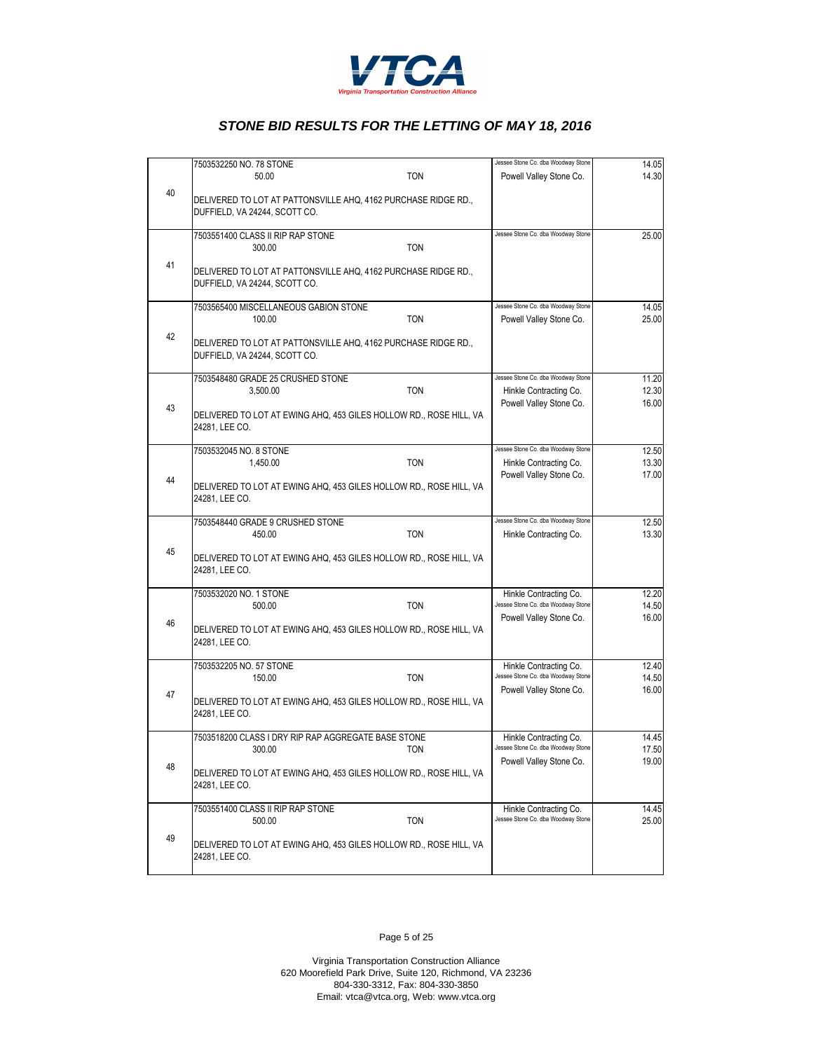

|    | 7503532250 NO. 78 STONE                                                                         |            | Jessee Stone Co. dba Woodway Stone | 14.05 |
|----|-------------------------------------------------------------------------------------------------|------------|------------------------------------|-------|
|    | 50.00                                                                                           | <b>TON</b> | Powell Valley Stone Co.            | 14.30 |
| 40 | DELIVERED TO LOT AT PATTONSVILLE AHQ, 4162 PURCHASE RIDGE RD.,<br>DUFFIELD, VA 24244, SCOTT CO. |            |                                    |       |
|    | 7503551400 CLASS II RIP RAP STONE                                                               |            | Jessee Stone Co. dba Woodway Stone | 25.00 |
|    | 300.00                                                                                          | <b>TON</b> |                                    |       |
| 41 | DELIVERED TO LOT AT PATTONSVILLE AHQ, 4162 PURCHASE RIDGE RD.,<br>DUFFIELD, VA 24244, SCOTT CO. |            |                                    |       |
|    | 7503565400 MISCELLANEOUS GABION STONE                                                           |            | Jessee Stone Co. dba Woodway Stone | 14.05 |
|    | 100.00                                                                                          | <b>TON</b> | Powell Valley Stone Co.            | 25.00 |
| 42 | DELIVERED TO LOT AT PATTONSVILLE AHQ, 4162 PURCHASE RIDGE RD.,<br>DUFFIELD, VA 24244, SCOTT CO. |            |                                    |       |
|    | 7503548480 GRADE 25 CRUSHED STONE                                                               |            | Jessee Stone Co. dba Woodway Stone | 11.20 |
|    | 3,500.00                                                                                        | <b>TON</b> | Hinkle Contracting Co.             | 12.30 |
| 43 | DELIVERED TO LOT AT EWING AHQ, 453 GILES HOLLOW RD., ROSE HILL, VA<br>24281, LEE CO.            |            | Powell Valley Stone Co.            | 16.00 |
|    | 7503532045 NO. 8 STONE                                                                          |            | Jessee Stone Co. dba Woodway Stone | 12.50 |
|    | 1,450.00                                                                                        | <b>TON</b> | Hinkle Contracting Co.             | 13.30 |
| 44 | DELIVERED TO LOT AT EWING AHQ, 453 GILES HOLLOW RD., ROSE HILL, VA<br>24281, LEE CO.            |            | Powell Valley Stone Co.            | 17.00 |
|    | 7503548440 GRADE 9 CRUSHED STONE                                                                |            | Jessee Stone Co. dba Woodway Stone | 12.50 |
|    | 450.00                                                                                          | <b>TON</b> | Hinkle Contracting Co.             | 13.30 |
| 45 | DELIVERED TO LOT AT EWING AHQ, 453 GILES HOLLOW RD., ROSE HILL, VA<br>24281, LEE CO.            |            |                                    |       |
|    | 7503532020 NO. 1 STONE                                                                          |            | Hinkle Contracting Co.             | 12.20 |
|    | 500.00                                                                                          | <b>TON</b> | Jessee Stone Co. dba Woodway Stone | 14.50 |
| 46 | DELIVERED TO LOT AT EWING AHQ, 453 GILES HOLLOW RD., ROSE HILL, VA<br>24281, LEE CO.            |            | Powell Valley Stone Co.            | 16.00 |
|    | 7503532205 NO. 57 STONE                                                                         |            | Hinkle Contracting Co.             | 12.40 |
|    | 150.00                                                                                          | <b>TON</b> | Jessee Stone Co. dba Woodway Stone | 14.50 |
| 47 | DELIVERED TO LOT AT EWING AHQ, 453 GILES HOLLOW RD., ROSE HILL, VA<br>24281, LEE CO.            |            | Powell Valley Stone Co.            | 16.00 |
|    | 7503518200 CLASS I DRY RIP RAP AGGREGATE BASE STONE                                             |            | Hinkle Contracting Co.             | 14.45 |
|    | 300.00                                                                                          |            | Jessee Stone Co, dba Woodway Stone | 17.50 |
| 48 | DELIVERED TO LOT AT EWING AHQ, 453 GILES HOLLOW RD., ROSE HILL, VA<br>24281, LEE CO.            |            | Powell Valley Stone Co.            | 19.00 |
|    | 7503551400 CLASS II RIP RAP STONE                                                               |            | Hinkle Contracting Co.             | 14.45 |
|    | 500.00                                                                                          | <b>TON</b> | Jessee Stone Co. dba Woodway Stone | 25.00 |
| 49 | DELIVERED TO LOT AT EWING AHQ, 453 GILES HOLLOW RD., ROSE HILL, VA<br>24281, LEE CO.            |            |                                    |       |

Page 5 of 25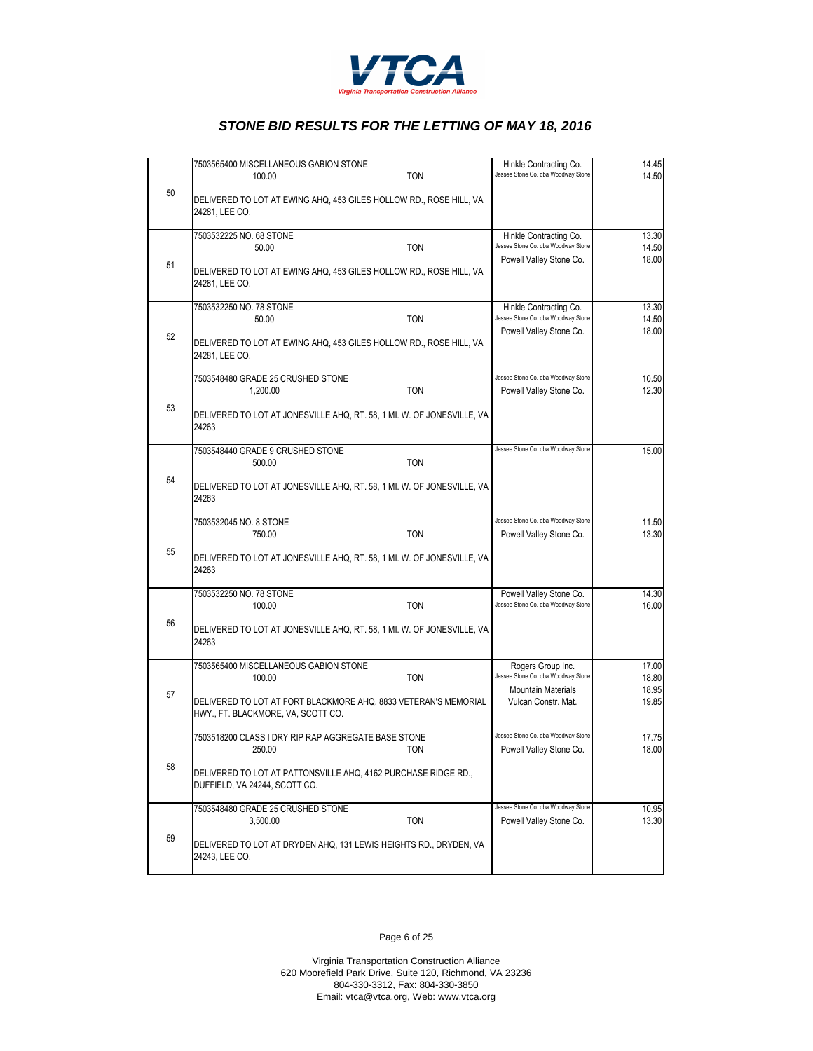

|    | 7503565400 MISCELLANEOUS GABION STONE<br><b>TON</b><br>100.00                                         | Hinkle Contracting Co.<br>Jessee Stone Co. dba Woodway Stone | 14.45<br>14.50 |
|----|-------------------------------------------------------------------------------------------------------|--------------------------------------------------------------|----------------|
| 50 | DELIVERED TO LOT AT EWING AHQ, 453 GILES HOLLOW RD., ROSE HILL, VA<br>24281, LEE CO.                  |                                                              |                |
|    | 7503532225 NO. 68 STONE                                                                               | Hinkle Contracting Co.                                       | 13.30          |
|    | <b>TON</b><br>50.00                                                                                   | Jessee Stone Co. dba Woodway Stone                           | 14.50          |
| 51 | DELIVERED TO LOT AT EWING AHQ, 453 GILES HOLLOW RD., ROSE HILL, VA<br>24281, LEE CO.                  | Powell Valley Stone Co.                                      | 18.00          |
|    | 7503532250 NO. 78 STONE                                                                               | Hinkle Contracting Co.                                       | 13.30          |
|    | 50.00<br><b>TON</b>                                                                                   | Jessee Stone Co. dba Woodway Stone                           | 14.50          |
| 52 | DELIVERED TO LOT AT EWING AHQ, 453 GILES HOLLOW RD., ROSE HILL, VA<br>24281, LEE CO.                  | Powell Valley Stone Co.                                      | 18.00          |
|    | 7503548480 GRADE 25 CRUSHED STONE                                                                     | Jessee Stone Co. dba Woodway Stone                           | 10.50          |
|    | <b>TON</b><br>1,200.00                                                                                | Powell Valley Stone Co.                                      | 12.30          |
| 53 | DELIVERED TO LOT AT JONESVILLE AHQ, RT. 58, 1 MI. W. OF JONESVILLE, VA<br>24263                       |                                                              |                |
|    | 7503548440 GRADE 9 CRUSHED STONE                                                                      | Jessee Stone Co. dba Woodway Stone                           | 15.00          |
|    | <b>TON</b><br>500.00                                                                                  |                                                              |                |
| 54 | DELIVERED TO LOT AT JONESVILLE AHQ, RT. 58, 1 MI. W. OF JONESVILLE, VA<br>24263                       |                                                              |                |
|    | 7503532045 NO. 8 STONE                                                                                | Jessee Stone Co. dba Woodway Stone                           | 11.50          |
|    | <b>TON</b><br>750.00                                                                                  | Powell Valley Stone Co.                                      | 13.30          |
| 55 | DELIVERED TO LOT AT JONESVILLE AHQ, RT. 58, 1 MI. W. OF JONESVILLE, VA<br>24263                       |                                                              |                |
|    | 7503532250 NO. 78 STONE                                                                               | Powell Valley Stone Co.                                      | 14.30          |
|    | 100.00<br><b>TON</b>                                                                                  | Jessee Stone Co. dba Woodway Stone                           | 16.00          |
| 56 | DELIVERED TO LOT AT JONESVILLE AHQ, RT. 58, 1 MI. W. OF JONESVILLE, VA<br>24263                       |                                                              |                |
|    | 7503565400 MISCELLANEOUS GABION STONE                                                                 | Rogers Group Inc.                                            | 17.00          |
|    | <b>TON</b><br>100.00                                                                                  | Jessee Stone Co. dba Woodway Stone                           | 18.80          |
| 57 | DELIVERED TO LOT AT FORT BLACKMORE AHQ, 8833 VETERAN'S MEMORIAL<br>HWY., FT. BLACKMORE, VA, SCOTT CO. | <b>Mountain Materials</b><br>Vulcan Constr. Mat.             | 18.95<br>19.85 |
|    | 7503518200 CLASS I DRY RIP RAP AGGREGATE BASE STONE                                                   | Jessee Stone Co. dba Woodway Stone                           | 17.75          |
|    | 250.00                                                                                                | Powell Valley Stone Co.                                      | 18.00          |
| 58 | DELIVERED TO LOT AT PATTONSVILLE AHQ, 4162 PURCHASE RIDGE RD.,<br>DUFFIELD, VA 24244, SCOTT CO.       |                                                              |                |
|    | 7503548480 GRADE 25 CRUSHED STONE                                                                     | Jessee Stone Co. dba Woodway Stone                           | 10.95          |
|    | 3,500.00<br><b>TON</b>                                                                                | Powell Valley Stone Co.                                      | 13.30          |
| 59 | DELIVERED TO LOT AT DRYDEN AHQ, 131 LEWIS HEIGHTS RD., DRYDEN, VA<br>24243, LEE CO.                   |                                                              |                |

Page 6 of 25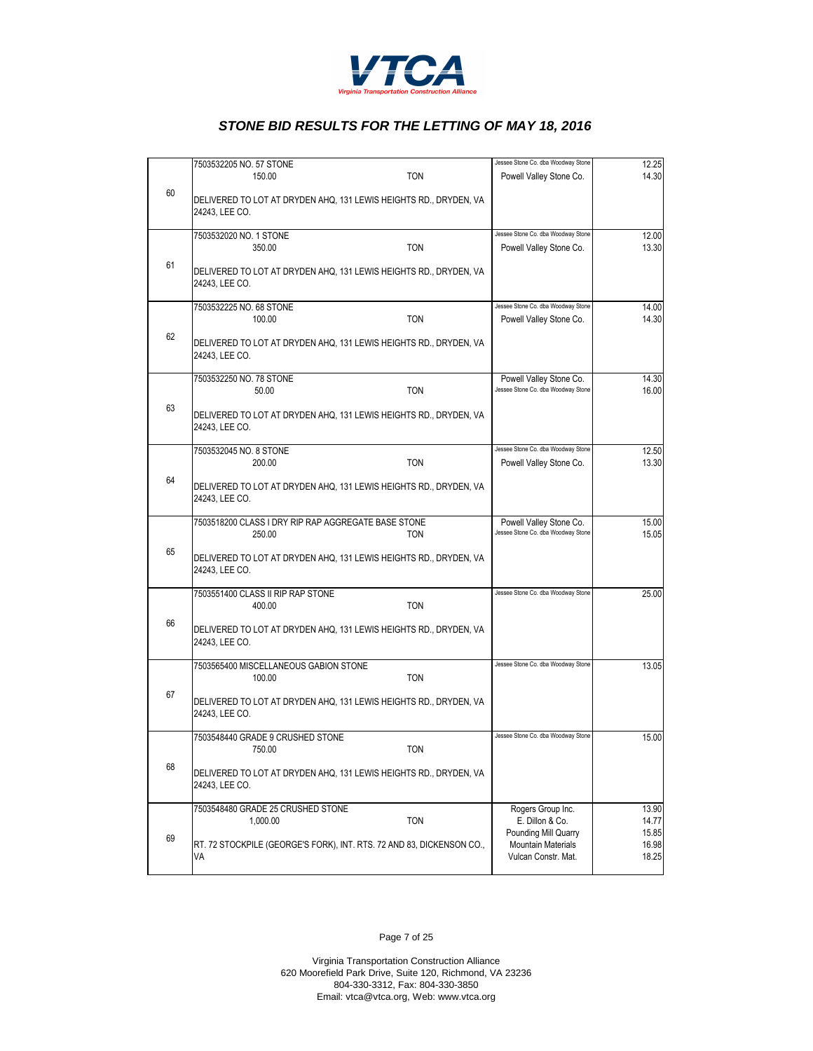

| <b>TON</b><br>150.00<br>Powell Valley Stone Co.<br>60<br>DELIVERED TO LOT AT DRYDEN AHQ, 131 LEWIS HEIGHTS RD., DRYDEN, VA<br>24243, LEE CO.<br>Jessee Stone Co. dba Woodway Stone<br>7503532020 NO. 1 STONE<br><b>TON</b><br>350.00<br>Powell Valley Stone Co.<br>61<br>DELIVERED TO LOT AT DRYDEN AHQ, 131 LEWIS HEIGHTS RD., DRYDEN, VA<br>24243, LEE CO.<br>Jessee Stone Co. dba Woodway Stone<br>7503532225 NO. 68 STONE<br>100.00<br><b>TON</b><br>Powell Valley Stone Co.<br>62<br>DELIVERED TO LOT AT DRYDEN AHQ, 131 LEWIS HEIGHTS RD., DRYDEN, VA<br>24243, LEE CO.<br>7503532250 NO. 78 STONE<br>Powell Valley Stone Co.<br>Jessee Stone Co. dba Woodway Stone<br>50.00<br><b>TON</b><br>63<br>DELIVERED TO LOT AT DRYDEN AHQ, 131 LEWIS HEIGHTS RD., DRYDEN, VA<br>24243, LEE CO.<br>Jessee Stone Co. dba Woodway Stone<br>7503532045 NO. 8 STONE<br>200.00<br><b>TON</b><br>Powell Valley Stone Co.<br>64<br>DELIVERED TO LOT AT DRYDEN AHQ, 131 LEWIS HEIGHTS RD., DRYDEN, VA<br>24243, LEE CO.<br>7503518200 CLASS I DRY RIP RAP AGGREGATE BASE STONE<br>Powell Valley Stone Co.<br>Jessee Stone Co. dba Woodway Stone<br><b>TON</b><br>250.00<br>65<br>DELIVERED TO LOT AT DRYDEN AHQ, 131 LEWIS HEIGHTS RD., DRYDEN, VA<br>24243, LEE CO.<br>Jessee Stone Co. dba Woodway Stone<br>7503551400 CLASS II RIP RAP STONE<br><b>TON</b><br>400.00<br>66<br>DELIVERED TO LOT AT DRYDEN AHQ, 131 LEWIS HEIGHTS RD., DRYDEN, VA<br>24243, LEE CO.<br>Jessee Stone Co. dba Woodway Stone<br>7503565400 MISCELLANEOUS GABION STONE<br>100.00<br><b>TON</b><br>67<br>DELIVERED TO LOT AT DRYDEN AHQ, 131 LEWIS HEIGHTS RD., DRYDEN, VA<br>24243, LEE CO.<br>7503548440 GRADE 9 CRUSHED STONE<br>Jessee Stone Co. dba Woodway Stone | 12.25                   | Jessee Stone Co. dba Woodway Stone | 7503532205 NO. 57 STONE |    |  |
|------------------------------------------------------------------------------------------------------------------------------------------------------------------------------------------------------------------------------------------------------------------------------------------------------------------------------------------------------------------------------------------------------------------------------------------------------------------------------------------------------------------------------------------------------------------------------------------------------------------------------------------------------------------------------------------------------------------------------------------------------------------------------------------------------------------------------------------------------------------------------------------------------------------------------------------------------------------------------------------------------------------------------------------------------------------------------------------------------------------------------------------------------------------------------------------------------------------------------------------------------------------------------------------------------------------------------------------------------------------------------------------------------------------------------------------------------------------------------------------------------------------------------------------------------------------------------------------------------------------------------------------------------------------------------------------------------------------------------------------|-------------------------|------------------------------------|-------------------------|----|--|
|                                                                                                                                                                                                                                                                                                                                                                                                                                                                                                                                                                                                                                                                                                                                                                                                                                                                                                                                                                                                                                                                                                                                                                                                                                                                                                                                                                                                                                                                                                                                                                                                                                                                                                                                          | 14.30                   |                                    |                         |    |  |
|                                                                                                                                                                                                                                                                                                                                                                                                                                                                                                                                                                                                                                                                                                                                                                                                                                                                                                                                                                                                                                                                                                                                                                                                                                                                                                                                                                                                                                                                                                                                                                                                                                                                                                                                          |                         |                                    |                         |    |  |
|                                                                                                                                                                                                                                                                                                                                                                                                                                                                                                                                                                                                                                                                                                                                                                                                                                                                                                                                                                                                                                                                                                                                                                                                                                                                                                                                                                                                                                                                                                                                                                                                                                                                                                                                          | 12.00                   |                                    |                         |    |  |
|                                                                                                                                                                                                                                                                                                                                                                                                                                                                                                                                                                                                                                                                                                                                                                                                                                                                                                                                                                                                                                                                                                                                                                                                                                                                                                                                                                                                                                                                                                                                                                                                                                                                                                                                          | 13.30                   |                                    |                         |    |  |
|                                                                                                                                                                                                                                                                                                                                                                                                                                                                                                                                                                                                                                                                                                                                                                                                                                                                                                                                                                                                                                                                                                                                                                                                                                                                                                                                                                                                                                                                                                                                                                                                                                                                                                                                          |                         |                                    |                         |    |  |
|                                                                                                                                                                                                                                                                                                                                                                                                                                                                                                                                                                                                                                                                                                                                                                                                                                                                                                                                                                                                                                                                                                                                                                                                                                                                                                                                                                                                                                                                                                                                                                                                                                                                                                                                          | 14.00                   |                                    |                         |    |  |
|                                                                                                                                                                                                                                                                                                                                                                                                                                                                                                                                                                                                                                                                                                                                                                                                                                                                                                                                                                                                                                                                                                                                                                                                                                                                                                                                                                                                                                                                                                                                                                                                                                                                                                                                          | 14.30                   |                                    |                         |    |  |
|                                                                                                                                                                                                                                                                                                                                                                                                                                                                                                                                                                                                                                                                                                                                                                                                                                                                                                                                                                                                                                                                                                                                                                                                                                                                                                                                                                                                                                                                                                                                                                                                                                                                                                                                          |                         |                                    |                         |    |  |
|                                                                                                                                                                                                                                                                                                                                                                                                                                                                                                                                                                                                                                                                                                                                                                                                                                                                                                                                                                                                                                                                                                                                                                                                                                                                                                                                                                                                                                                                                                                                                                                                                                                                                                                                          | 14.30                   |                                    |                         |    |  |
|                                                                                                                                                                                                                                                                                                                                                                                                                                                                                                                                                                                                                                                                                                                                                                                                                                                                                                                                                                                                                                                                                                                                                                                                                                                                                                                                                                                                                                                                                                                                                                                                                                                                                                                                          | 16.00                   |                                    |                         |    |  |
|                                                                                                                                                                                                                                                                                                                                                                                                                                                                                                                                                                                                                                                                                                                                                                                                                                                                                                                                                                                                                                                                                                                                                                                                                                                                                                                                                                                                                                                                                                                                                                                                                                                                                                                                          |                         |                                    |                         |    |  |
|                                                                                                                                                                                                                                                                                                                                                                                                                                                                                                                                                                                                                                                                                                                                                                                                                                                                                                                                                                                                                                                                                                                                                                                                                                                                                                                                                                                                                                                                                                                                                                                                                                                                                                                                          | 12.50                   |                                    |                         |    |  |
|                                                                                                                                                                                                                                                                                                                                                                                                                                                                                                                                                                                                                                                                                                                                                                                                                                                                                                                                                                                                                                                                                                                                                                                                                                                                                                                                                                                                                                                                                                                                                                                                                                                                                                                                          | 13.30                   |                                    |                         |    |  |
|                                                                                                                                                                                                                                                                                                                                                                                                                                                                                                                                                                                                                                                                                                                                                                                                                                                                                                                                                                                                                                                                                                                                                                                                                                                                                                                                                                                                                                                                                                                                                                                                                                                                                                                                          |                         |                                    |                         |    |  |
|                                                                                                                                                                                                                                                                                                                                                                                                                                                                                                                                                                                                                                                                                                                                                                                                                                                                                                                                                                                                                                                                                                                                                                                                                                                                                                                                                                                                                                                                                                                                                                                                                                                                                                                                          | 15.00                   |                                    |                         |    |  |
|                                                                                                                                                                                                                                                                                                                                                                                                                                                                                                                                                                                                                                                                                                                                                                                                                                                                                                                                                                                                                                                                                                                                                                                                                                                                                                                                                                                                                                                                                                                                                                                                                                                                                                                                          | 15.05                   |                                    |                         |    |  |
|                                                                                                                                                                                                                                                                                                                                                                                                                                                                                                                                                                                                                                                                                                                                                                                                                                                                                                                                                                                                                                                                                                                                                                                                                                                                                                                                                                                                                                                                                                                                                                                                                                                                                                                                          |                         |                                    |                         |    |  |
|                                                                                                                                                                                                                                                                                                                                                                                                                                                                                                                                                                                                                                                                                                                                                                                                                                                                                                                                                                                                                                                                                                                                                                                                                                                                                                                                                                                                                                                                                                                                                                                                                                                                                                                                          | 25.00                   |                                    |                         |    |  |
|                                                                                                                                                                                                                                                                                                                                                                                                                                                                                                                                                                                                                                                                                                                                                                                                                                                                                                                                                                                                                                                                                                                                                                                                                                                                                                                                                                                                                                                                                                                                                                                                                                                                                                                                          |                         |                                    |                         |    |  |
|                                                                                                                                                                                                                                                                                                                                                                                                                                                                                                                                                                                                                                                                                                                                                                                                                                                                                                                                                                                                                                                                                                                                                                                                                                                                                                                                                                                                                                                                                                                                                                                                                                                                                                                                          |                         |                                    |                         |    |  |
|                                                                                                                                                                                                                                                                                                                                                                                                                                                                                                                                                                                                                                                                                                                                                                                                                                                                                                                                                                                                                                                                                                                                                                                                                                                                                                                                                                                                                                                                                                                                                                                                                                                                                                                                          | 13.05                   |                                    |                         |    |  |
|                                                                                                                                                                                                                                                                                                                                                                                                                                                                                                                                                                                                                                                                                                                                                                                                                                                                                                                                                                                                                                                                                                                                                                                                                                                                                                                                                                                                                                                                                                                                                                                                                                                                                                                                          |                         |                                    |                         |    |  |
|                                                                                                                                                                                                                                                                                                                                                                                                                                                                                                                                                                                                                                                                                                                                                                                                                                                                                                                                                                                                                                                                                                                                                                                                                                                                                                                                                                                                                                                                                                                                                                                                                                                                                                                                          |                         |                                    |                         |    |  |
|                                                                                                                                                                                                                                                                                                                                                                                                                                                                                                                                                                                                                                                                                                                                                                                                                                                                                                                                                                                                                                                                                                                                                                                                                                                                                                                                                                                                                                                                                                                                                                                                                                                                                                                                          | 15.00                   |                                    |                         |    |  |
| 750.00<br>TON                                                                                                                                                                                                                                                                                                                                                                                                                                                                                                                                                                                                                                                                                                                                                                                                                                                                                                                                                                                                                                                                                                                                                                                                                                                                                                                                                                                                                                                                                                                                                                                                                                                                                                                            |                         |                                    |                         |    |  |
| DELIVERED TO LOT AT DRYDEN AHQ, 131 LEWIS HEIGHTS RD., DRYDEN, VA<br>24243, LEE CO.                                                                                                                                                                                                                                                                                                                                                                                                                                                                                                                                                                                                                                                                                                                                                                                                                                                                                                                                                                                                                                                                                                                                                                                                                                                                                                                                                                                                                                                                                                                                                                                                                                                      |                         |                                    |                         | 68 |  |
| 7503548480 GRADE 25 CRUSHED STONE<br>Rogers Group Inc.                                                                                                                                                                                                                                                                                                                                                                                                                                                                                                                                                                                                                                                                                                                                                                                                                                                                                                                                                                                                                                                                                                                                                                                                                                                                                                                                                                                                                                                                                                                                                                                                                                                                                   | 13.90                   |                                    |                         |    |  |
| <b>TON</b><br>E. Dillon & Co.<br>1,000.00                                                                                                                                                                                                                                                                                                                                                                                                                                                                                                                                                                                                                                                                                                                                                                                                                                                                                                                                                                                                                                                                                                                                                                                                                                                                                                                                                                                                                                                                                                                                                                                                                                                                                                | 14.77                   |                                    |                         |    |  |
| Pounding Mill Quarry<br>69<br>RT. 72 STOCKPILE (GEORGE'S FORK), INT. RTS. 72 AND 83, DICKENSON CO.,<br><b>Mountain Materials</b><br>Vulcan Constr. Mat.<br>VA                                                                                                                                                                                                                                                                                                                                                                                                                                                                                                                                                                                                                                                                                                                                                                                                                                                                                                                                                                                                                                                                                                                                                                                                                                                                                                                                                                                                                                                                                                                                                                            | 15.85<br>16.98<br>18.25 |                                    |                         |    |  |

Page 7 of 25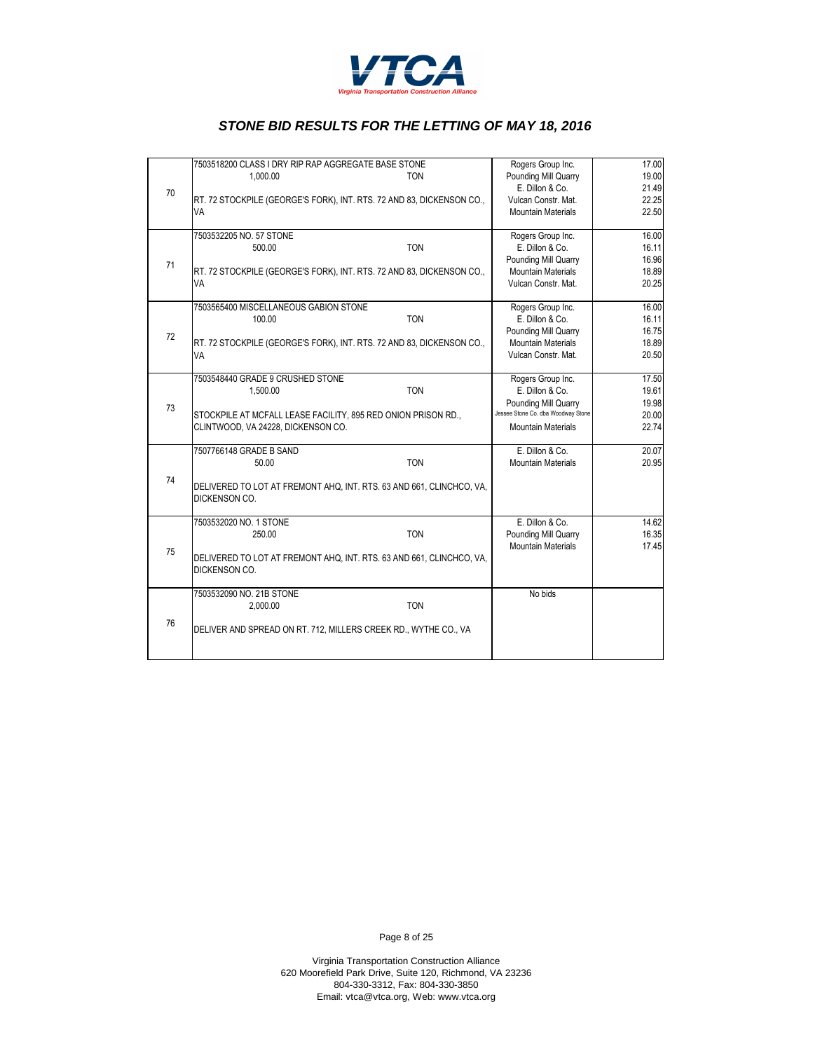

|    | 7503518200 CLASS I DRY RIP RAP AGGREGATE BASE STONE                   | Rogers Group Inc.                    | 17.00          |
|----|-----------------------------------------------------------------------|--------------------------------------|----------------|
|    | 1.000.00<br>TON                                                       | Pounding Mill Quarry                 | 19.00          |
| 70 |                                                                       | E. Dillon & Co.                      | 21.49          |
|    | RT. 72 STOCKPILE (GEORGE'S FORK), INT. RTS. 72 AND 83, DICKENSON CO., | Vulcan Constr. Mat.                  | 22.25          |
|    | VA                                                                    | <b>Mountain Materials</b>            | 22.50          |
|    |                                                                       |                                      |                |
|    | 7503532205 NO. 57 STONE<br><b>TON</b><br>500.00                       | Rogers Group Inc.<br>E. Dillon & Co. | 16.00<br>16.11 |
|    |                                                                       | Pounding Mill Quarry                 | 16.96          |
| 71 | RT. 72 STOCKPILE (GEORGE'S FORK), INT. RTS. 72 AND 83, DICKENSON CO., | <b>Mountain Materials</b>            | 18.89          |
|    | VA                                                                    | Vulcan Constr. Mat.                  | 20.25          |
|    |                                                                       |                                      |                |
|    | 7503565400 MISCELLANEOUS GABION STONE                                 | Rogers Group Inc.                    | 16.00          |
|    | <b>TON</b><br>100.00                                                  | E. Dillon & Co.                      | 16.11          |
| 72 |                                                                       | Pounding Mill Quarry                 | 16.75          |
|    | RT. 72 STOCKPILE (GEORGE'S FORK), INT. RTS. 72 AND 83, DICKENSON CO., | <b>Mountain Materials</b>            | 18.89          |
|    | VA                                                                    | Vulcan Constr. Mat.                  | 20.50          |
|    | 7503548440 GRADE 9 CRUSHED STONE                                      | Rogers Group Inc.                    | 17.50          |
|    | <b>TON</b><br>1.500.00                                                | E. Dillon & Co.                      | 19.61          |
|    |                                                                       | Pounding Mill Quarry                 | 19.98          |
| 73 | STOCKPILE AT MCFALL LEASE FACILITY, 895 RED ONION PRISON RD.,         | Jessee Stone Co. dba Woodway Stone   | 20.00          |
|    | CLINTWOOD, VA 24228, DICKENSON CO.                                    | <b>Mountain Materials</b>            | 22.74          |
|    |                                                                       |                                      |                |
|    | 7507766148 GRADE B SAND                                               | E. Dillon & Co.                      | 20.07          |
|    | <b>TON</b><br>50.00                                                   | <b>Mountain Materials</b>            | 20.95          |
| 74 | DELIVERED TO LOT AT FREMONT AHQ, INT. RTS. 63 AND 661, CLINCHCO, VA,  |                                      |                |
|    | <b>DICKENSON CO.</b>                                                  |                                      |                |
|    |                                                                       |                                      |                |
|    | 7503532020 NO. 1 STONE                                                | E. Dillon & Co.                      | 14.62          |
| 75 | <b>TON</b><br>250.00                                                  | Pounding Mill Quarry                 | 16.35          |
|    |                                                                       | <b>Mountain Materials</b>            | 17.45          |
|    | DELIVERED TO LOT AT FREMONT AHQ, INT. RTS. 63 AND 661, CLINCHCO, VA,  |                                      |                |
|    | <b>DICKENSON CO.</b>                                                  |                                      |                |
|    | 7503532090 NO. 21B STONE                                              | No bids                              |                |
|    | <b>TON</b><br>2,000.00                                                |                                      |                |
| 76 |                                                                       |                                      |                |
|    | DELIVER AND SPREAD ON RT. 712, MILLERS CREEK RD., WYTHE CO., VA       |                                      |                |
|    |                                                                       |                                      |                |
|    |                                                                       |                                      |                |

Page 8 of 25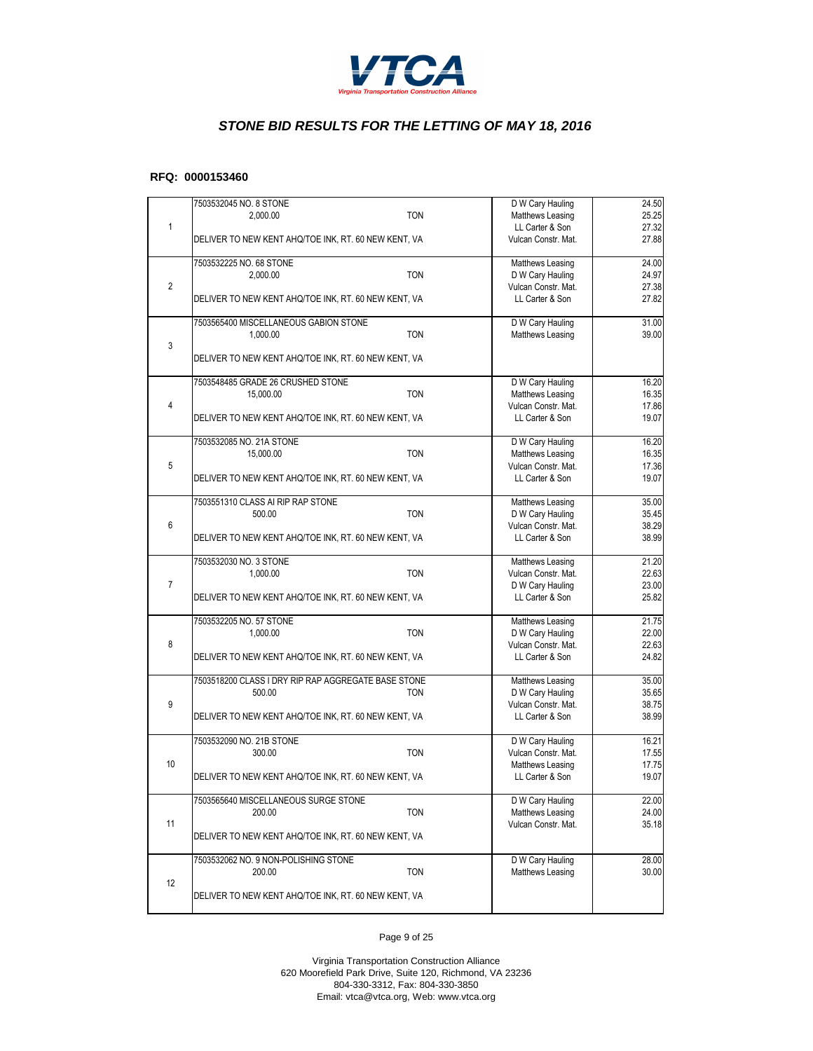

#### **RFQ: 0000153460**

|                | 7503532045 NO. 8 STONE                               |            | D W Cary Hauling                       | 24.50          |
|----------------|------------------------------------------------------|------------|----------------------------------------|----------------|
|                | 2,000.00                                             | <b>TON</b> | Matthews Leasing                       | 25.25          |
| $\mathbf{1}$   |                                                      |            | LL Carter & Son                        | 27.32          |
|                | DELIVER TO NEW KENT AHQ/TOE INK, RT. 60 NEW KENT, VA |            | Vulcan Constr. Mat.                    | 27.88          |
|                | 7503532225 NO. 68 STONE                              |            | Matthews Leasing                       | 24.00          |
|                | 2,000.00                                             | <b>TON</b> | D W Cary Hauling                       | 24.97          |
| $\overline{2}$ |                                                      |            | Vulcan Constr. Mat.                    | 27.38          |
|                | DELIVER TO NEW KENT AHQ/TOE INK, RT. 60 NEW KENT, VA |            | LL Carter & Son                        | 27.82          |
|                | 7503565400 MISCELLANEOUS GABION STONE                |            | D W Cary Hauling                       | 31.00          |
|                | 1,000.00                                             | <b>TON</b> | Matthews Leasing                       | 39.00          |
| 3              |                                                      |            |                                        |                |
|                | DELIVER TO NEW KENT AHQ/TOE INK, RT. 60 NEW KENT, VA |            |                                        |                |
|                | 7503548485 GRADE 26 CRUSHED STONE                    |            | D W Cary Hauling                       | 16.20          |
|                | 15,000.00                                            | <b>TON</b> | Matthews Leasing                       | 16.35          |
| $\overline{4}$ |                                                      |            | Vulcan Constr. Mat.                    | 17.86          |
|                | DELIVER TO NEW KENT AHQ/TOE INK, RT. 60 NEW KENT, VA |            | LL Carter & Son                        | 19.07          |
|                | 7503532085 NO. 21A STONE                             |            | D W Cary Hauling                       | 16.20          |
|                | 15,000.00                                            | <b>TON</b> | Matthews Leasing                       | 16.35          |
| 5              |                                                      |            | Vulcan Constr. Mat.                    | 17.36          |
|                | DELIVER TO NEW KENT AHQ/TOE INK, RT. 60 NEW KENT, VA |            | LL Carter & Son                        | 19.07          |
|                | 7503551310 CLASS AI RIP RAP STONE                    |            | Matthews Leasing                       | 35.00          |
|                | 500.00                                               | <b>TON</b> | D W Cary Hauling                       | 35.45          |
| 6              |                                                      |            | Vulcan Constr. Mat.                    | 38.29          |
|                | DELIVER TO NEW KENT AHQ/TOE INK, RT. 60 NEW KENT, VA |            | LL Carter & Son                        | 38.99          |
|                | 7503532030 NO. 3 STONE                               |            | Matthews Leasing                       | 21.20          |
|                | 1,000.00                                             | <b>TON</b> | Vulcan Constr. Mat.                    | 22.63          |
| $\overline{7}$ |                                                      |            | D W Cary Hauling                       | 23.00          |
|                | DELIVER TO NEW KENT AHQ/TOE INK, RT. 60 NEW KENT, VA |            | LL Carter & Son                        | 25.82          |
|                | 7503532205 NO. 57 STONE                              |            | Matthews Leasing                       | 21.75          |
|                | 1,000.00                                             | <b>TON</b> | D W Cary Hauling                       | 22.00          |
| 8              | DELIVER TO NEW KENT AHQ/TOE INK, RT. 60 NEW KENT, VA |            | Vulcan Constr. Mat.<br>LL Carter & Son | 22.63<br>24.82 |
|                |                                                      |            |                                        |                |
|                | 7503518200 CLASS I DRY RIP RAP AGGREGATE BASE STONE  |            | Matthews Leasing                       | 35.00          |
|                | 500.00                                               | <b>TON</b> | D W Cary Hauling                       | 35.65          |
| 9              |                                                      |            | Vulcan Constr. Mat.<br>LL Carter & Son | 38.75<br>38.99 |
|                | DELIVER TO NEW KENT AHQ/TOE INK, RT. 60 NEW KENT, VA |            |                                        |                |
|                | 7503532090 NO. 21B STONE                             |            | D W Cary Hauling                       | 16.21          |
|                | 300.00                                               | <b>TON</b> | Vulcan Constr. Mat.                    | 17.55          |
| 10             |                                                      |            | Matthews Leasing<br>LL Carter & Son    | 17.75<br>19.07 |
|                | DELIVER TO NEW KENT AHQ/TOE INK, RT. 60 NEW KENT, VA |            |                                        |                |
|                | 7503565640 MISCELLANEOUS SURGE STONE                 |            | D W Cary Hauling                       | 22.00          |
|                | 200.00                                               | <b>TON</b> | Matthews Leasing                       | 24.00          |
| 11             | DELIVER TO NEW KENT AHQ/TOE INK, RT. 60 NEW KENT, VA |            | Vulcan Constr. Mat.                    | 35.18          |
|                |                                                      |            |                                        |                |
|                | 7503532062 NO. 9 NON-POLISHING STONE                 |            | D W Cary Hauling                       | 28.00          |
| 12             | 200.00                                               | TON        | Matthews Leasing                       | 30.00          |
|                | DELIVER TO NEW KENT AHQ/TOE INK, RT. 60 NEW KENT, VA |            |                                        |                |
|                |                                                      |            |                                        |                |

Page 9 of 25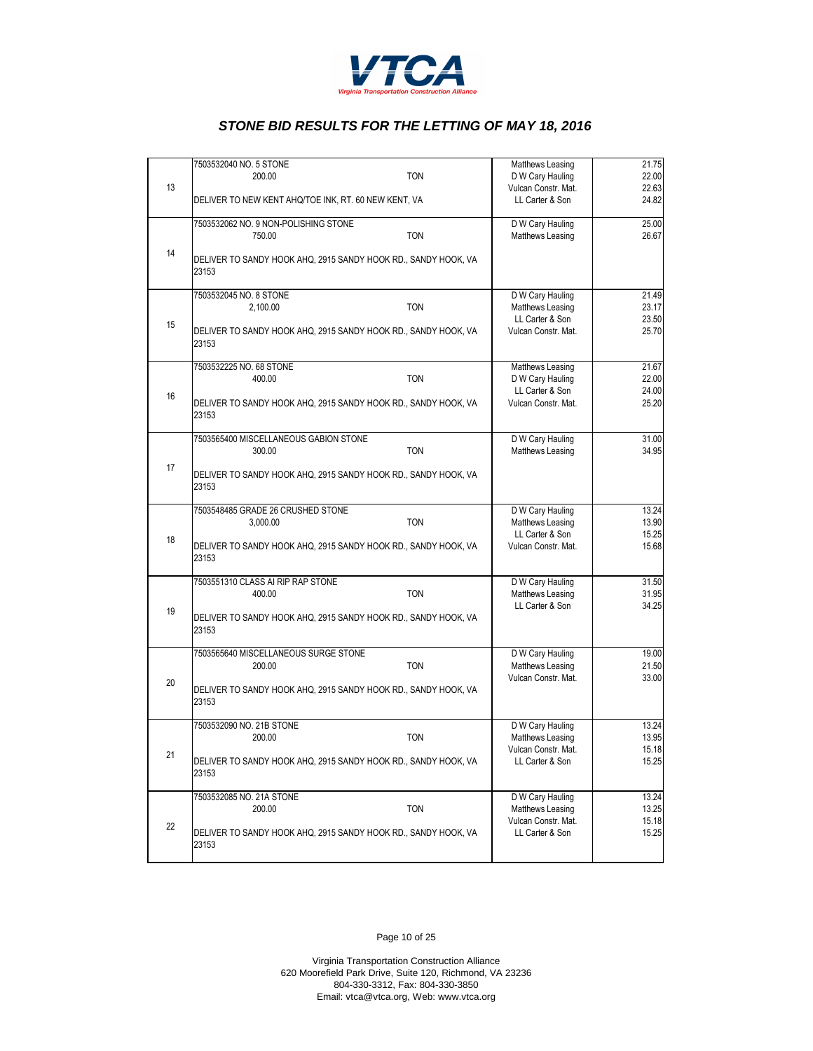

|    | 7503532040 NO. 5 STONE<br>200.00                                        | <b>TON</b> | Matthews Leasing<br>D W Cary Hauling   | 21.75<br>22.00 |
|----|-------------------------------------------------------------------------|------------|----------------------------------------|----------------|
| 13 | DELIVER TO NEW KENT AHQ/TOE INK, RT. 60 NEW KENT, VA                    |            | Vulcan Constr. Mat.<br>LL Carter & Son | 22.63<br>24.82 |
|    | 7503532062 NO. 9 NON-POLISHING STONE<br>750.00                          | <b>TON</b> | D W Cary Hauling<br>Matthews Leasing   | 25.00<br>26.67 |
| 14 | DELIVER TO SANDY HOOK AHQ, 2915 SANDY HOOK RD., SANDY HOOK, VA<br>23153 |            |                                        |                |
|    | 7503532045 NO. 8 STONE<br>2,100.00                                      | <b>TON</b> | D W Cary Hauling<br>Matthews Leasing   | 21.49<br>23.17 |
| 15 | DELIVER TO SANDY HOOK AHQ, 2915 SANDY HOOK RD., SANDY HOOK, VA<br>23153 |            | LL Carter & Son<br>Vulcan Constr. Mat. | 23.50<br>25.70 |
|    | 7503532225 NO. 68 STONE<br>400.00                                       | <b>TON</b> | Matthews Leasing<br>D W Cary Hauling   | 21.67<br>22.00 |
| 16 | DELIVER TO SANDY HOOK AHQ, 2915 SANDY HOOK RD., SANDY HOOK, VA<br>23153 |            | LL Carter & Son<br>Vulcan Constr. Mat. | 24.00<br>25.20 |
|    | 7503565400 MISCELLANEOUS GABION STONE<br>300.00                         | <b>TON</b> | D W Cary Hauling<br>Matthews Leasing   | 31.00<br>34.95 |
| 17 | DELIVER TO SANDY HOOK AHQ, 2915 SANDY HOOK RD., SANDY HOOK, VA<br>23153 |            |                                        |                |
|    | 7503548485 GRADE 26 CRUSHED STONE<br>3,000.00                           | <b>TON</b> | D W Cary Hauling<br>Matthews Leasing   | 13.24<br>13.90 |
| 18 | DELIVER TO SANDY HOOK AHQ, 2915 SANDY HOOK RD., SANDY HOOK, VA<br>23153 |            | LL Carter & Son<br>Vulcan Constr. Mat. | 15.25<br>15.68 |
|    | 7503551310 CLASS AI RIP RAP STONE<br>400.00                             | <b>TON</b> | D W Cary Hauling<br>Matthews Leasing   | 31.50<br>31.95 |
| 19 | DELIVER TO SANDY HOOK AHQ, 2915 SANDY HOOK RD., SANDY HOOK, VA<br>23153 |            | LL Carter & Son                        | 34.25          |
|    | 7503565640 MISCELLANEOUS SURGE STONE<br>200.00                          | <b>TON</b> | D W Cary Hauling<br>Matthews Leasing   | 19.00<br>21.50 |
| 20 | DELIVER TO SANDY HOOK AHQ, 2915 SANDY HOOK RD., SANDY HOOK, VA<br>23153 |            | Vulcan Constr. Mat.                    | 33.00          |
|    | 7503532090 NO. 21B STONE<br>200.00                                      | <b>TON</b> | D W Cary Hauling<br>Matthews Leasing   | 13.24<br>13.95 |
| 21 | DELIVER TO SANDY HOOK AHQ, 2915 SANDY HOOK RD., SANDY HOOK, VA<br>23153 |            | Vulcan Constr. Mat.<br>LL Carter & Son | 15.18<br>15.25 |
|    | 7503532085 NO. 21A STONE<br>200.00                                      | <b>TON</b> | D W Cary Hauling<br>Matthews Leasing   | 13.24<br>13.25 |
| 22 | DELIVER TO SANDY HOOK AHQ, 2915 SANDY HOOK RD., SANDY HOOK, VA<br>23153 |            | Vulcan Constr. Mat.<br>LL Carter & Son | 15.18<br>15.25 |

Page 10 of 25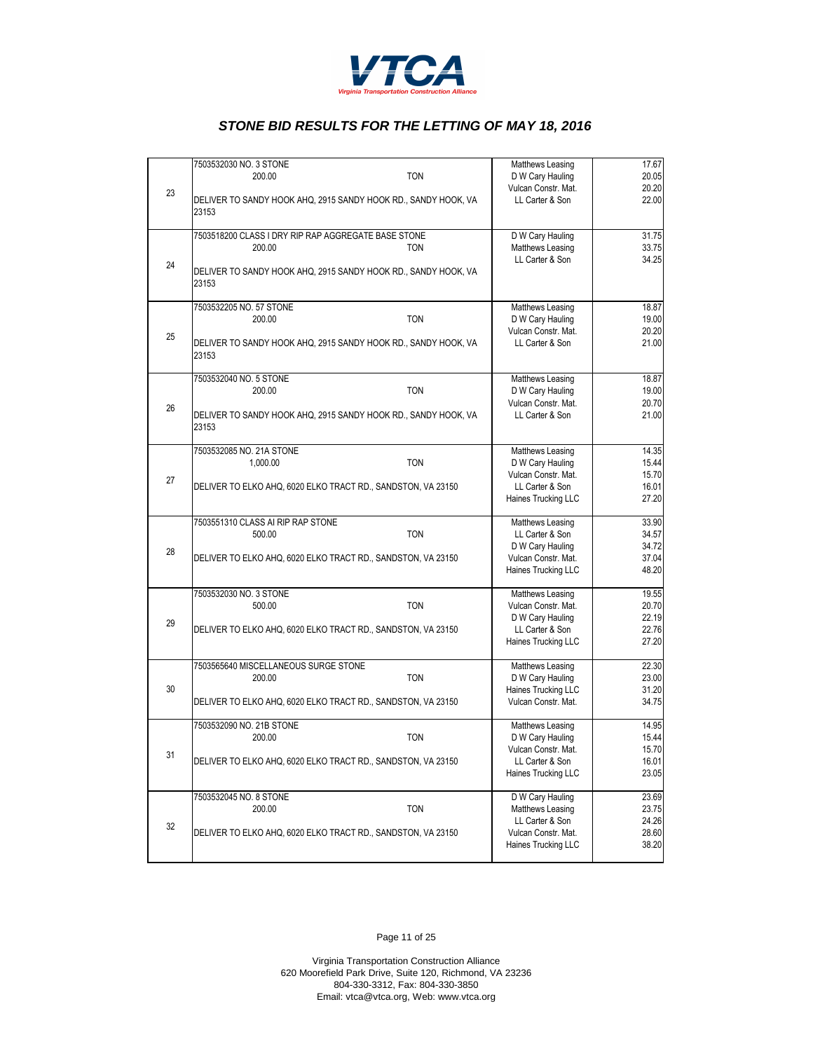

|    |                                                                | Matthews Leasing    | 17.67 |
|----|----------------------------------------------------------------|---------------------|-------|
|    | 7503532030 NO. 3 STONE                                         |                     |       |
|    | 200.00<br><b>TON</b>                                           | D W Cary Hauling    | 20.05 |
| 23 |                                                                | Vulcan Constr. Mat. | 20.20 |
|    | DELIVER TO SANDY HOOK AHQ, 2915 SANDY HOOK RD., SANDY HOOK, VA | LL Carter & Son     | 22.00 |
|    | 23153                                                          |                     |       |
|    |                                                                |                     |       |
|    | 7503518200 CLASS I DRY RIP RAP AGGREGATE BASE STONE            |                     | 31.75 |
|    |                                                                | D W Cary Hauling    |       |
|    | <b>TON</b><br>200.00                                           | Matthews Leasing    | 33.75 |
| 24 |                                                                | LL Carter & Son     | 34.25 |
|    | DELIVER TO SANDY HOOK AHQ, 2915 SANDY HOOK RD., SANDY HOOK, VA |                     |       |
|    | 23153                                                          |                     |       |
|    |                                                                |                     |       |
|    | 7503532205 NO. 57 STONE                                        | Matthews Leasing    | 18.87 |
|    | 200.00<br><b>TON</b>                                           |                     | 19.00 |
|    |                                                                | D W Cary Hauling    |       |
| 25 |                                                                | Vulcan Constr. Mat. | 20.20 |
|    | DELIVER TO SANDY HOOK AHQ, 2915 SANDY HOOK RD., SANDY HOOK, VA | LL Carter & Son     | 21.00 |
|    | 23153                                                          |                     |       |
|    |                                                                |                     |       |
|    | 7503532040 NO. 5 STONE                                         | Matthews Leasing    | 18.87 |
|    | <b>TON</b><br>200.00                                           | D W Cary Hauling    | 19.00 |
|    |                                                                | Vulcan Constr. Mat. | 20.70 |
| 26 |                                                                |                     |       |
|    | DELIVER TO SANDY HOOK AHQ, 2915 SANDY HOOK RD., SANDY HOOK, VA | LL Carter & Son     | 21.00 |
|    | 23153                                                          |                     |       |
|    |                                                                |                     |       |
|    | 7503532085 NO. 21A STONE                                       | Matthews Leasing    | 14.35 |
|    | <b>TON</b><br>1.000.00                                         | D W Cary Hauling    | 15.44 |
|    |                                                                | Vulcan Constr. Mat. | 15.70 |
| 27 |                                                                | LL Carter & Son     |       |
|    | DELIVER TO ELKO AHQ, 6020 ELKO TRACT RD., SANDSTON, VA 23150   |                     | 16.01 |
|    |                                                                | Haines Trucking LLC | 27.20 |
|    |                                                                |                     |       |
|    | 7503551310 CLASS AI RIP RAP STONE                              | Matthews Leasing    | 33.90 |
|    | <b>TON</b><br>500.00                                           | LL Carter & Son     | 34.57 |
|    |                                                                | D W Cary Hauling    | 34.72 |
| 28 | DELIVER TO ELKO AHQ, 6020 ELKO TRACT RD., SANDSTON, VA 23150   | Vulcan Constr. Mat. | 37.04 |
|    |                                                                | Haines Trucking LLC | 48.20 |
|    |                                                                |                     |       |
|    | 7503532030 NO. 3 STONE                                         | Matthews Leasing    | 19.55 |
|    |                                                                |                     |       |
|    | 500.00<br><b>TON</b>                                           | Vulcan Constr. Mat. | 20.70 |
| 29 |                                                                | D W Cary Hauling    | 22.19 |
|    | DELIVER TO ELKO AHQ, 6020 ELKO TRACT RD., SANDSTON, VA 23150   | LL Carter & Son     | 22.76 |
|    |                                                                | Haines Trucking LLC | 27.20 |
|    |                                                                |                     |       |
|    | 7503565640 MISCELLANEOUS SURGE STONE                           | Matthews Leasing    | 22.30 |
|    | <b>TON</b><br>200.00                                           | D W Cary Hauling    | 23.00 |
| 30 |                                                                | Haines Trucking LLC | 31.20 |
|    |                                                                |                     |       |
|    | DELIVER TO ELKO AHQ, 6020 ELKO TRACT RD., SANDSTON, VA 23150   | Vulcan Constr. Mat. | 34.75 |
|    |                                                                |                     |       |
|    | 7503532090 NO. 21B STONE                                       | Matthews Leasing    | 14.95 |
|    | <b>TON</b><br>200.00                                           | D W Cary Hauling    | 15.44 |
|    |                                                                | Vulcan Constr. Mat. | 15.70 |
| 31 | DELIVER TO ELKO AHQ, 6020 ELKO TRACT RD., SANDSTON, VA 23150   | LL Carter & Son     | 16.01 |
|    |                                                                | Haines Trucking LLC | 23.05 |
|    |                                                                |                     |       |
|    | 7503532045 NO. 8 STONE                                         | D W Cary Hauling    | 23.69 |
|    |                                                                |                     |       |
|    | <b>TON</b><br>200.00                                           | Matthews Leasing    | 23.75 |
| 32 |                                                                | LL Carter & Son     | 24.26 |
|    | DELIVER TO ELKO AHQ, 6020 ELKO TRACT RD., SANDSTON, VA 23150   | Vulcan Constr. Mat. | 28.60 |
|    |                                                                | Haines Trucking LLC | 38.20 |
|    |                                                                |                     |       |
|    |                                                                |                     |       |

Page 11 of 25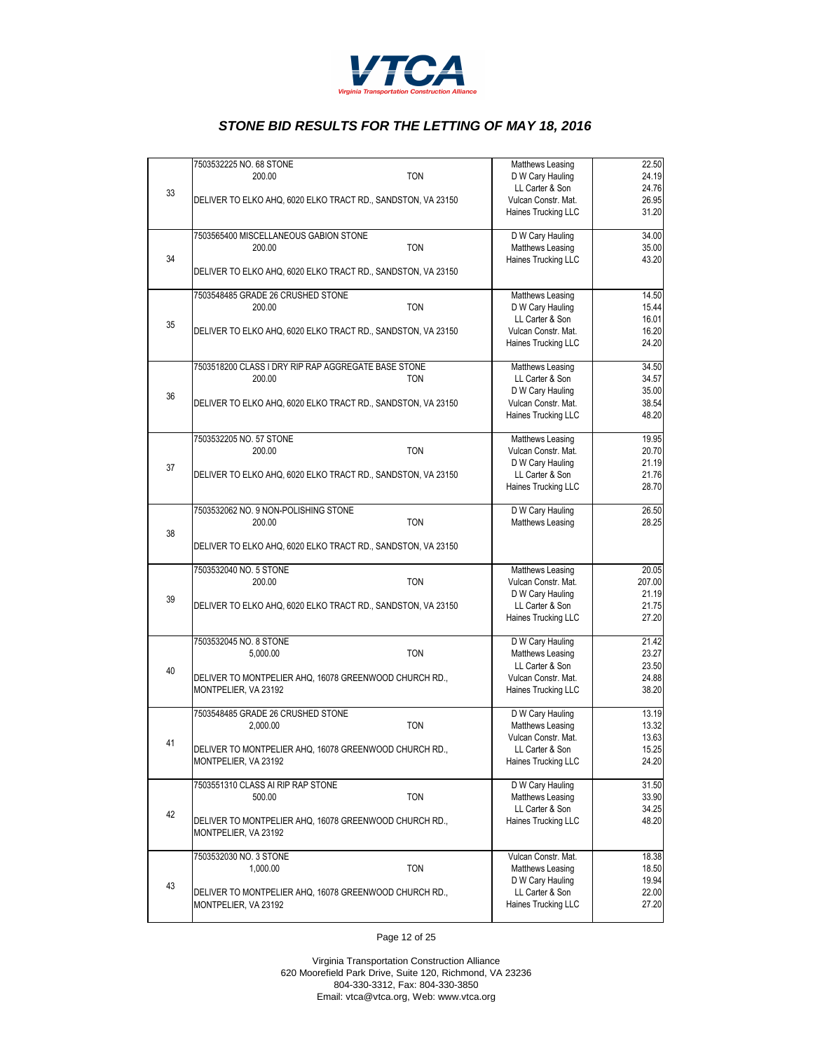

|    | 7503532225 NO. 68 STONE                                      | Matthews Leasing    | 22.50  |
|----|--------------------------------------------------------------|---------------------|--------|
|    | <b>TON</b><br>200.00                                         | D W Cary Hauling    | 24.19  |
|    |                                                              | LL Carter & Son     | 24.76  |
| 33 |                                                              |                     |        |
|    | DELIVER TO ELKO AHQ, 6020 ELKO TRACT RD., SANDSTON, VA 23150 | Vulcan Constr. Mat. | 26.95  |
|    |                                                              | Haines Trucking LLC | 31.20  |
|    |                                                              |                     |        |
|    | 7503565400 MISCELLANEOUS GABION STONE                        | D W Cary Hauling    | 34.00  |
|    | <b>TON</b><br>200.00                                         | Matthews Leasing    | 35.00  |
|    |                                                              |                     |        |
| 34 |                                                              | Haines Trucking LLC | 43.20  |
|    | DELIVER TO ELKO AHQ, 6020 ELKO TRACT RD., SANDSTON, VA 23150 |                     |        |
|    |                                                              |                     |        |
|    | 7503548485 GRADE 26 CRUSHED STONE                            | Matthews Leasing    | 14.50  |
|    | <b>TON</b><br>200.00                                         | D W Cary Hauling    | 15.44  |
|    |                                                              | LL Carter & Son     |        |
| 35 |                                                              |                     | 16.01  |
|    | DELIVER TO ELKO AHQ, 6020 ELKO TRACT RD., SANDSTON, VA 23150 | Vulcan Constr. Mat. | 16.20  |
|    |                                                              | Haines Trucking LLC | 24.20  |
|    |                                                              |                     |        |
|    | 7503518200 CLASS I DRY RIP RAP AGGREGATE BASE STONE          | Matthews Leasing    | 34.50  |
|    | 200.00<br><b>TON</b>                                         | LL Carter & Son     | 34.57  |
|    |                                                              | D W Cary Hauling    | 35.00  |
| 36 |                                                              |                     |        |
|    | DELIVER TO ELKO AHQ, 6020 ELKO TRACT RD., SANDSTON, VA 23150 | Vulcan Constr. Mat. | 38.54  |
|    |                                                              | Haines Trucking LLC | 48.20  |
|    |                                                              |                     |        |
|    | 7503532205 NO. 57 STONE                                      | Matthews Leasing    | 19.95  |
|    | 200.00<br><b>TON</b>                                         | Vulcan Constr. Mat. | 20.70  |
|    |                                                              | D W Cary Hauling    | 21.19  |
| 37 | DELIVER TO ELKO AHQ, 6020 ELKO TRACT RD., SANDSTON, VA 23150 |                     |        |
|    |                                                              | LL Carter & Son     | 21.76  |
|    |                                                              | Haines Trucking LLC | 28.70  |
|    |                                                              |                     |        |
|    | 7503532062 NO. 9 NON-POLISHING STONE                         | D W Cary Hauling    | 26.50  |
|    | 200.00<br><b>TON</b>                                         | Matthews Leasing    | 28.25  |
| 38 |                                                              |                     |        |
|    | DELIVER TO ELKO AHQ, 6020 ELKO TRACT RD., SANDSTON, VA 23150 |                     |        |
|    |                                                              |                     |        |
|    | 7503532040 NO. 5 STONE                                       | Matthews Leasing    | 20.05  |
|    | <b>TON</b>                                                   |                     | 207.00 |
|    | 200.00                                                       | Vulcan Constr. Mat. |        |
| 39 |                                                              | D W Cary Hauling    | 21.19  |
|    | DELIVER TO ELKO AHQ, 6020 ELKO TRACT RD., SANDSTON, VA 23150 | LL Carter & Son     | 21.75  |
|    |                                                              | Haines Trucking LLC | 27.20  |
|    |                                                              |                     |        |
|    | 7503532045 NO. 8 STONE                                       | D W Cary Hauling    | 21.42  |
|    | 5.000.00<br><b>TON</b>                                       | Matthews Leasing    | 23.27  |
|    |                                                              |                     |        |
| 40 |                                                              | LL Carter & Son     | 23.50  |
|    | DELIVER TO MONTPELIER AHQ, 16078 GREENWOOD CHURCH RD.,       | Vulcan Constr. Mat. | 24.88  |
|    | MONTPELIER, VA 23192                                         | Haines Trucking LLC | 38.20  |
|    |                                                              |                     |        |
|    | 7503548485 GRADE 26 CRUSHED STONE                            | D W Cary Hauling    | 13.19  |
|    | <b>TON</b><br>2,000.00                                       | Matthews Leasing    | 13.32  |
|    |                                                              | Vulcan Constr. Mat. | 13.63  |
| 41 |                                                              |                     |        |
|    | DELIVER TO MONTPELIER AHQ, 16078 GREENWOOD CHURCH RD         | LL Carter & Son     | 15.25  |
|    | MONTPELIER, VA 23192                                         | Haines Trucking LLC | 24.20  |
|    |                                                              |                     |        |
|    | 7503551310 CLASS AI RIP RAP STONE                            | D W Cary Hauling    | 31.50  |
|    | <b>TON</b><br>500.00                                         | Matthews Leasing    | 33.90  |
|    |                                                              | LL Carter & Son     | 34.25  |
| 42 | DELIVER TO MONTPELIER AHQ, 16078 GREENWOOD CHURCH RD.,       | Haines Trucking LLC | 48.20  |
|    | MONTPELIER, VA 23192                                         |                     |        |
|    |                                                              |                     |        |
|    |                                                              |                     |        |
|    | 7503532030 NO. 3 STONE                                       | Vulcan Constr. Mat. | 18.38  |
|    | <b>TON</b><br>1,000.00                                       | Matthews Leasing    | 18.50  |
| 43 |                                                              | D W Cary Hauling    | 19.94  |
|    | DELIVER TO MONTPELIER AHQ, 16078 GREENWOOD CHURCH RD.,       | LL Carter & Son     | 22.00  |
|    | MONTPELIER, VA 23192                                         | Haines Trucking LLC | 27.20  |
|    |                                                              |                     |        |
|    |                                                              |                     |        |

Page 12 of 25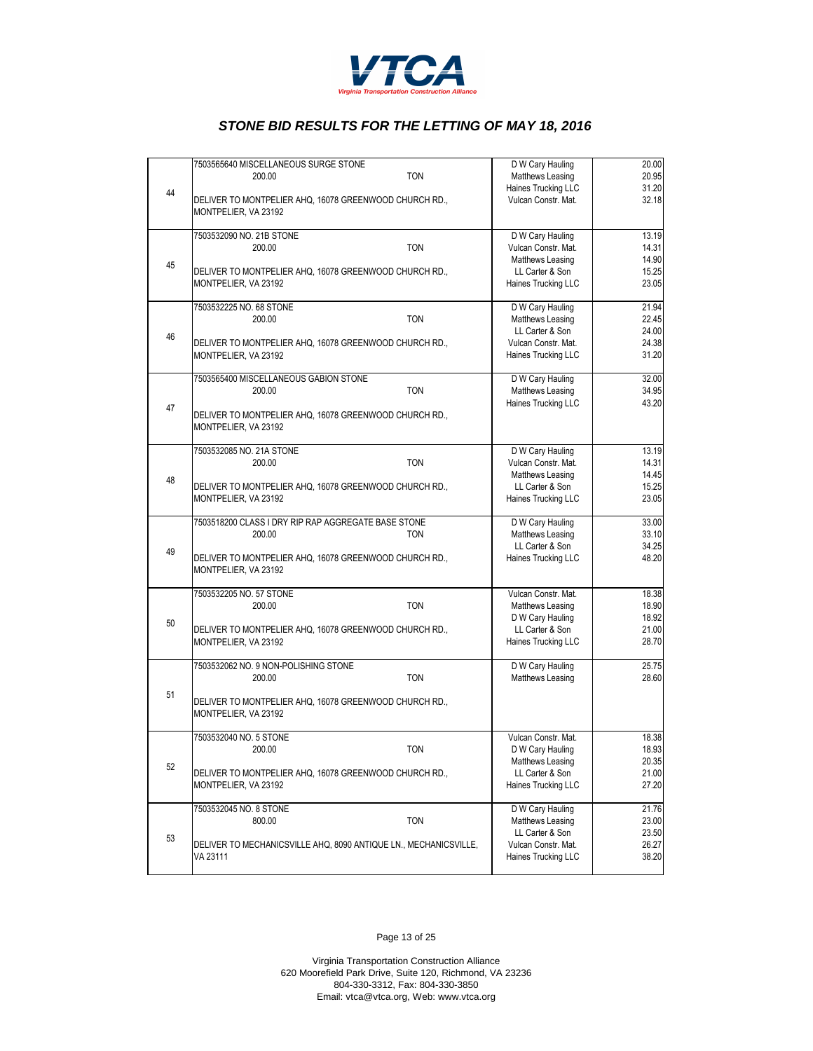

|    | 7503565640 MISCELLANEOUS SURGE STONE                                           | D W Cary Hauling    | 20.00 |
|----|--------------------------------------------------------------------------------|---------------------|-------|
|    | <b>TON</b><br>200.00                                                           | Matthews Leasing    | 20.95 |
|    |                                                                                | Haines Trucking LLC | 31.20 |
| 44 | DELIVER TO MONTPELIER AHQ, 16078 GREENWOOD CHURCH RD.,<br>MONTPELIER, VA 23192 | Vulcan Constr. Mat. | 32.18 |
|    | 7503532090 NO. 21B STONE                                                       | D W Cary Hauling    | 13.19 |
|    | <b>TON</b><br>200.00                                                           | Vulcan Constr. Mat. | 14.31 |
|    |                                                                                | Matthews Leasing    | 14.90 |
| 45 | DELIVER TO MONTPELIER AHQ, 16078 GREENWOOD CHURCH RD.,                         | LL Carter & Son     | 15.25 |
|    | MONTPELIER, VA 23192                                                           | Haines Trucking LLC | 23.05 |
|    | 7503532225 NO. 68 STONE                                                        | D W Cary Hauling    | 21.94 |
|    | <b>TON</b><br>200.00                                                           | Matthews Leasing    | 22.45 |
|    |                                                                                | LL Carter & Son     | 24.00 |
| 46 |                                                                                | Vulcan Constr. Mat. | 24.38 |
|    | DELIVER TO MONTPELIER AHQ, 16078 GREENWOOD CHURCH RD.,                         |                     |       |
|    | MONTPELIER, VA 23192                                                           | Haines Trucking LLC | 31.20 |
|    | 7503565400 MISCELLANEOUS GABION STONE                                          | D W Cary Hauling    | 32.00 |
|    | <b>TON</b><br>200.00                                                           | Matthews Leasing    | 34.95 |
| 47 |                                                                                | Haines Trucking LLC | 43.20 |
|    | DELIVER TO MONTPELIER AHQ, 16078 GREENWOOD CHURCH RD.,                         |                     |       |
|    | MONTPELIER, VA 23192                                                           |                     |       |
|    | 7503532085 NO. 21A STONE                                                       | D W Cary Hauling    | 13.19 |
|    | <b>TON</b><br>200.00                                                           | Vulcan Constr. Mat. | 14.31 |
|    |                                                                                | Matthews Leasing    | 14.45 |
| 48 | DELIVER TO MONTPELIER AHQ, 16078 GREENWOOD CHURCH RD.,                         | LL Carter & Son     | 15.25 |
|    | MONTPELIER, VA 23192                                                           | Haines Trucking LLC | 23.05 |
|    |                                                                                |                     |       |
|    | 7503518200 CLASS I DRY RIP RAP AGGREGATE BASE STONE                            | D W Cary Hauling    | 33.00 |
|    | 200.00<br><b>TON</b>                                                           | Matthews Leasing    | 33.10 |
| 49 |                                                                                | LL Carter & Son     | 34.25 |
|    | DELIVER TO MONTPELIER AHQ, 16078 GREENWOOD CHURCH RD.,<br>MONTPELIER, VA 23192 | Haines Trucking LLC | 48.20 |
|    | 7503532205 NO. 57 STONE                                                        | Vulcan Constr. Mat. | 18.38 |
|    | <b>TON</b><br>200.00                                                           | Matthews Leasing    | 18.90 |
|    |                                                                                | D W Cary Hauling    | 18.92 |
| 50 | DELIVER TO MONTPELIER AHQ, 16078 GREENWOOD CHURCH RD.,                         | LL Carter & Son     | 21.00 |
|    | MONTPELIER, VA 23192                                                           | Haines Trucking LLC | 28.70 |
|    |                                                                                |                     |       |
|    | 7503532062 NO. 9 NON-POLISHING STONE                                           | D W Cary Hauling    | 25.75 |
|    | <b>TON</b><br>200.00                                                           | Matthews Leasing    | 28.60 |
| 51 | DELIVER TO MONTPELIER AHQ, 16078 GREENWOOD CHURCH RD.,                         |                     |       |
|    | MONTPELIER, VA 23192                                                           |                     |       |
|    |                                                                                |                     |       |
|    | 7503532040 NO. 5 STONE                                                         | Vulcan Constr. Mat. | 18.38 |
|    | <b>TON</b><br>200.00                                                           | D W Cary Hauling    | 18.93 |
| 52 |                                                                                | Matthews Leasing    | 20.35 |
|    | DELIVER TO MONTPELIER AHQ, 16078 GREENWOOD CHURCH RD.,                         | LL Carter & Son     | 21.00 |
|    | MONTPELIER, VA 23192                                                           | Haines Trucking LLC | 27.20 |
|    | 7503532045 NO. 8 STONE                                                         | D W Cary Hauling    | 21.76 |
|    | <b>TON</b><br>800.00                                                           | Matthews Leasing    | 23.00 |
| 53 |                                                                                | LL Carter & Son     | 23.50 |
|    | DELIVER TO MECHANICSVILLE AHQ, 8090 ANTIQUE LN., MECHANICSVILLE,               | Vulcan Constr. Mat. | 26.27 |
|    | VA 23111                                                                       | Haines Trucking LLC | 38.20 |
|    |                                                                                |                     |       |

Page 13 of 25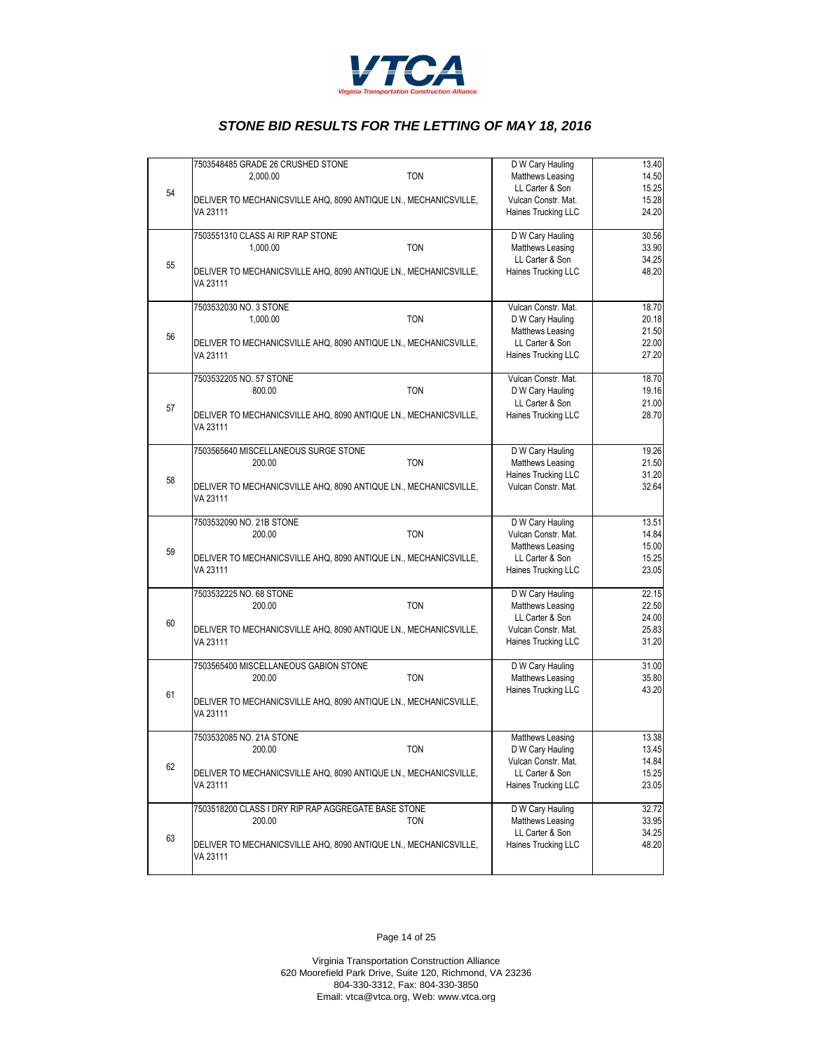

|    | 7503548485 GRADE 26 CRUSHED STONE                                |            | D W Cary Hauling    | 13.40 |
|----|------------------------------------------------------------------|------------|---------------------|-------|
|    | 2.000.00                                                         | <b>TON</b> | Matthews Leasing    | 14.50 |
| 54 |                                                                  |            | LL Carter & Son     | 15.25 |
|    | DELIVER TO MECHANICSVILLE AHQ, 8090 ANTIQUE LN., MECHANICSVILLE, |            | Vulcan Constr. Mat. | 15.28 |
|    | VA 23111                                                         |            | Haines Trucking LLC | 24.20 |
|    |                                                                  |            |                     |       |
|    | 7503551310 CLASS AI RIP RAP STONE                                |            | D W Cary Hauling    | 30.56 |
|    | 1,000.00                                                         | <b>TON</b> | Matthews Leasing    | 33.90 |
|    |                                                                  |            | LL Carter & Son     | 34.25 |
| 55 | DELIVER TO MECHANICSVILLE AHQ, 8090 ANTIQUE LN., MECHANICSVILLE, |            | Haines Trucking LLC | 48.20 |
|    |                                                                  |            |                     |       |
|    | VA 23111                                                         |            |                     |       |
|    | 7503532030 NO. 3 STONE                                           |            | Vulcan Constr. Mat. | 18.70 |
|    | 1,000.00                                                         | <b>TON</b> | D W Cary Hauling    | 20.18 |
|    |                                                                  |            |                     |       |
| 56 |                                                                  |            | Matthews Leasing    | 21.50 |
|    | DELIVER TO MECHANICSVILLE AHQ, 8090 ANTIQUE LN., MECHANICSVILLE, |            | LL Carter & Son     | 22.00 |
|    | VA 23111                                                         |            | Haines Trucking LLC | 27.20 |
|    |                                                                  |            |                     |       |
|    | 7503532205 NO. 57 STONE                                          |            | Vulcan Constr. Mat. | 18.70 |
|    | 800.00                                                           | <b>TON</b> | D W Cary Hauling    | 19.16 |
| 57 |                                                                  |            | LL Carter & Son     | 21.00 |
|    | DELIVER TO MECHANICSVILLE AHQ, 8090 ANTIQUE LN., MECHANICSVILLE, |            | Haines Trucking LLC | 28.70 |
|    | VA 23111                                                         |            |                     |       |
|    |                                                                  |            |                     |       |
|    | 7503565640 MISCELLANEOUS SURGE STONE                             |            | D W Cary Hauling    | 19.26 |
|    | 200.00                                                           | <b>TON</b> | Matthews Leasing    | 21.50 |
|    |                                                                  |            | Haines Trucking LLC | 31.20 |
| 58 | DELIVER TO MECHANICSVILLE AHQ, 8090 ANTIQUE LN., MECHANICSVILLE, |            | Vulcan Constr. Mat. | 32.64 |
|    | VA 23111                                                         |            |                     |       |
|    |                                                                  |            |                     |       |
|    | 7503532090 NO. 21B STONE                                         |            | D W Cary Hauling    | 13.51 |
|    | 200.00                                                           | <b>TON</b> | Vulcan Constr. Mat. | 14.84 |
|    |                                                                  |            |                     |       |
| 59 |                                                                  |            | Matthews Leasing    | 15.00 |
|    | DELIVER TO MECHANICSVILLE AHQ, 8090 ANTIQUE LN., MECHANICSVILLE, |            | LL Carter & Son     | 15.25 |
|    | VA 23111                                                         |            | Haines Trucking LLC | 23.05 |
|    |                                                                  |            |                     |       |
|    | 7503532225 NO. 68 STONE                                          |            | D W Cary Hauling    | 22.15 |
|    | 200.00                                                           | <b>TON</b> | Matthews Leasing    | 22.50 |
| 60 |                                                                  |            | LL Carter & Son     | 24.00 |
|    | DELIVER TO MECHANICSVILLE AHQ, 8090 ANTIQUE LN., MECHANICSVILLE, |            | Vulcan Constr. Mat. | 25.83 |
|    | VA 23111                                                         |            | Haines Trucking LLC | 31.20 |
|    |                                                                  |            |                     |       |
|    | 7503565400 MISCELLANEOUS GABION STONE                            |            | D W Cary Hauling    | 31.00 |
|    | 200.00                                                           | <b>TON</b> | Matthews Leasing    | 35.80 |
| 61 |                                                                  |            | Haines Trucking LLC | 43.20 |
|    | DELIVER TO MECHANICSVILLE AHQ, 8090 ANTIQUE LN., MECHANICSVILLE, |            |                     |       |
|    | VA 23111                                                         |            |                     |       |
|    |                                                                  |            |                     |       |
|    | 7503532085 NO. 21A STONE                                         |            | Matthews Leasing    | 13.38 |
|    | 200.00                                                           | <b>TON</b> | D W Cary Hauling    | 13.45 |
|    |                                                                  |            | Vulcan Constr. Mat. | 14.84 |
| 62 | DELIVER TO MECHANICSVILLE AHQ, 8090 ANTIQUE LN., MECHANICSVILLE, |            | LL Carter & Son     | 15.25 |
|    | VA 23111                                                         |            | Haines Trucking LLC | 23.05 |
|    |                                                                  |            |                     |       |
|    | 7503518200 CLASS I DRY RIP RAP AGGREGATE BASE STONE              |            | D W Cary Hauling    | 32.72 |
|    | 200.00                                                           | TON        | Matthews Leasing    | 33.95 |
|    |                                                                  |            | LL Carter & Son     | 34.25 |
| 63 |                                                                  |            |                     |       |
|    | DELIVER TO MECHANICSVILLE AHQ, 8090 ANTIQUE LN., MECHANICSVILLE, |            | Haines Trucking LLC | 48.20 |
|    | VA 23111                                                         |            |                     |       |
|    |                                                                  |            |                     |       |

Page 14 of 25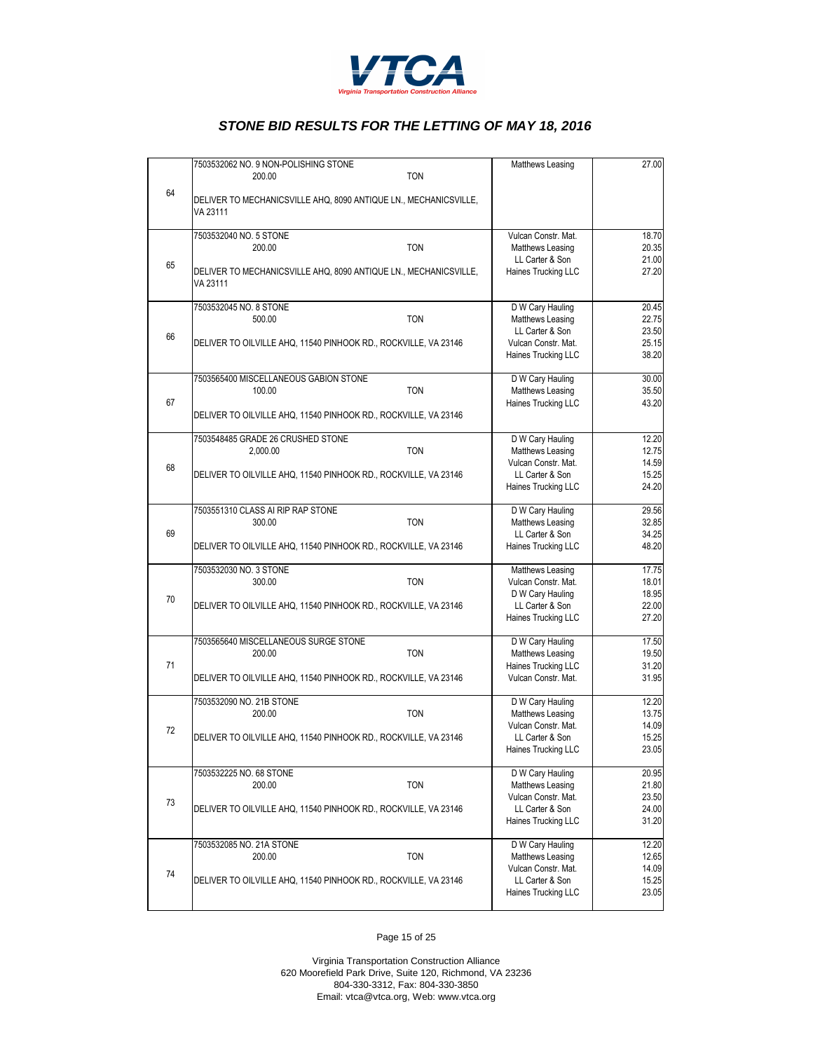

|    | 7503532062 NO. 9 NON-POLISHING STONE                                         | Matthews Leasing                        | 27.00          |
|----|------------------------------------------------------------------------------|-----------------------------------------|----------------|
| 64 | <b>TON</b><br>200.00                                                         |                                         |                |
|    | DELIVER TO MECHANICSVILLE AHQ, 8090 ANTIQUE LN., MECHANICSVILLE,<br>VA 23111 |                                         |                |
|    | 7503532040 NO. 5 STONE                                                       | Vulcan Constr. Mat.                     | 18.70          |
|    | 200.00<br><b>TON</b>                                                         | Matthews Leasing<br>LL Carter & Son     | 20.35<br>21.00 |
| 65 | DELIVER TO MECHANICSVILLE AHQ, 8090 ANTIQUE LN., MECHANICSVILLE,<br>VA 23111 | Haines Trucking LLC                     | 27.20          |
|    | 7503532045 NO. 8 STONE                                                       | D W Cary Hauling                        | 20.45          |
|    | 500.00<br><b>TON</b>                                                         | Matthews Leasing<br>LL Carter & Son     | 22.75<br>23.50 |
| 66 | DELIVER TO OILVILLE AHQ, 11540 PINHOOK RD., ROCKVILLE, VA 23146              | Vulcan Constr. Mat.                     | 25.15          |
|    |                                                                              | Haines Trucking LLC                     | 38.20          |
|    | 7503565400 MISCELLANEOUS GABION STONE                                        | D W Cary Hauling                        | 30.00          |
| 67 | <b>TON</b><br>100.00                                                         | Matthews Leasing<br>Haines Trucking LLC | 35.50<br>43.20 |
|    | DELIVER TO OILVILLE AHQ, 11540 PINHOOK RD., ROCKVILLE, VA 23146              |                                         |                |
|    | 7503548485 GRADE 26 CRUSHED STONE                                            | D W Cary Hauling                        | 12.20          |
|    | <b>TON</b><br>2,000.00                                                       | Matthews Leasing                        | 12.75          |
| 68 |                                                                              | Vulcan Constr. Mat.                     | 14.59          |
|    | DELIVER TO OILVILLE AHQ, 11540 PINHOOK RD., ROCKVILLE, VA 23146              | LL Carter & Son<br>Haines Trucking LLC  | 15.25<br>24.20 |
|    | 7503551310 CLASS AI RIP RAP STONE                                            | D W Cary Hauling                        | 29.56          |
|    | <b>TON</b><br>300.00                                                         | Matthews Leasing                        | 32.85          |
| 69 | DELIVER TO OILVILLE AHQ, 11540 PINHOOK RD., ROCKVILLE, VA 23146              | LL Carter & Son<br>Haines Trucking LLC  | 34.25<br>48.20 |
|    | 7503532030 NO. 3 STONE                                                       | Matthews Leasing                        | 17.75          |
|    | 300.00<br><b>TON</b>                                                         | Vulcan Constr. Mat.                     | 18.01          |
| 70 |                                                                              | D W Cary Hauling                        | 18.95          |
|    | DELIVER TO OILVILLE AHQ, 11540 PINHOOK RD., ROCKVILLE, VA 23146              | LL Carter & Son<br>Haines Trucking LLC  | 22.00<br>27.20 |
|    |                                                                              |                                         |                |
|    | 7503565640 MISCELLANEOUS SURGE STONE<br><b>TON</b><br>200.00                 | D W Cary Hauling<br>Matthews Leasing    | 17.50<br>19.50 |
| 71 |                                                                              | Haines Trucking LLC                     | 31.20          |
|    | DELIVER TO OILVILLE AHQ, 11540 PINHOOK RD., ROCKVILLE, VA 23146              | Vulcan Constr. Mat.                     | 31.95          |
|    | 7503532090 NO. 21B STONE                                                     | D W Cary Hauling                        | 12.20          |
|    | <b>TON</b><br>200.00                                                         | Matthews Leasing                        | 13.75          |
| 72 | DELIVER TO OILVILLE AHQ, 11540 PINHOOK RD., ROCKVILLE, VA 23146              | Vulcan Constr. Mat.<br>LL Carter & Son  | 14.09<br>15.25 |
|    |                                                                              | Haines Trucking LLC                     | 23.05          |
|    | 7503532225 NO. 68 STONE                                                      | D W Cary Hauling                        | 20.95          |
|    | <b>TON</b><br>200.00                                                         | Matthews Leasing                        | 21.80          |
| 73 | DELIVER TO OILVILLE AHQ, 11540 PINHOOK RD., ROCKVILLE, VA 23146              | Vulcan Constr. Mat.<br>LL Carter & Son  | 23.50<br>24.00 |
|    |                                                                              | Haines Trucking LLC                     | 31.20          |
|    | 7503532085 NO. 21A STONE                                                     | D W Cary Hauling                        | 12.20          |
|    | 200.00<br><b>TON</b>                                                         | Matthews Leasing                        | 12.65          |
| 74 | DELIVER TO OILVILLE AHQ, 11540 PINHOOK RD., ROCKVILLE, VA 23146              | Vulcan Constr. Mat.<br>LL Carter & Son  | 14.09<br>15.25 |
|    |                                                                              | Haines Trucking LLC                     | 23.05          |
|    |                                                                              |                                         |                |

Page 15 of 25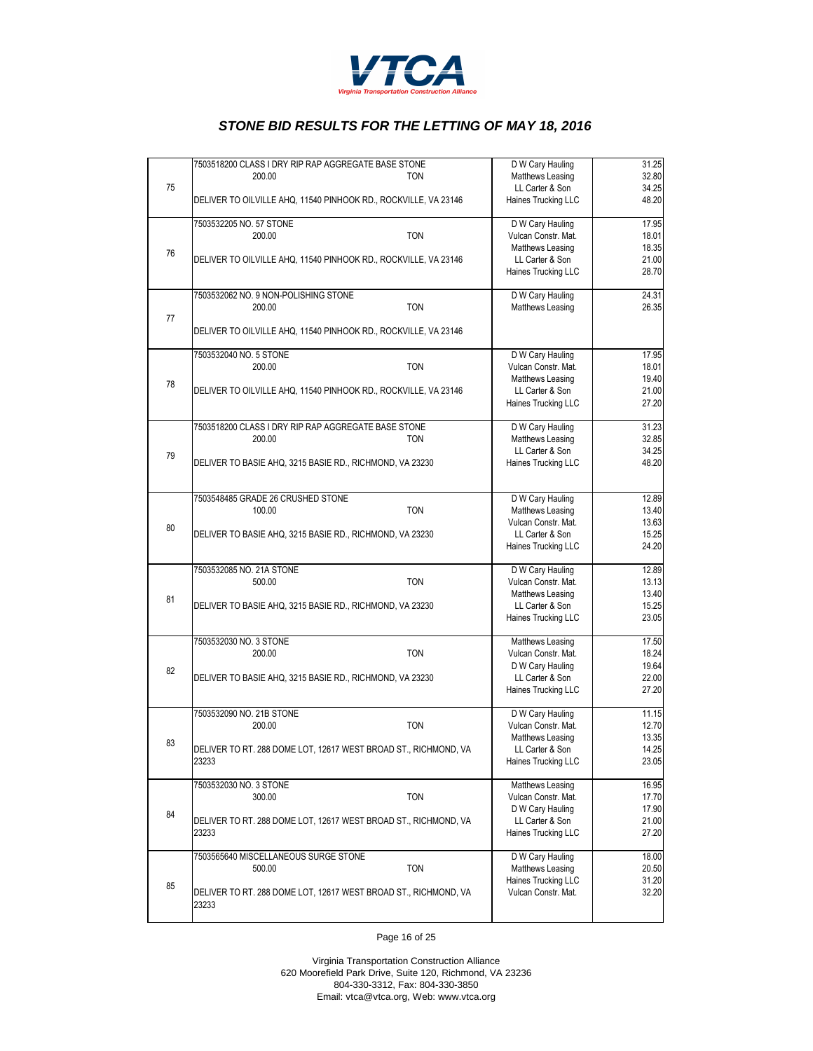

|    | 7503518200 CLASS I DRY RIP RAP AGGREGATE BASE STONE                      | D W Cary Hauling                       | 31.25          |
|----|--------------------------------------------------------------------------|----------------------------------------|----------------|
|    | 200.00<br><b>TON</b>                                                     | Matthews Leasing                       | 32.80          |
| 75 |                                                                          | LL Carter & Son                        | 34.25          |
|    | DELIVER TO OILVILLE AHQ, 11540 PINHOOK RD., ROCKVILLE, VA 23146          | Haines Trucking LLC                    | 48.20          |
|    |                                                                          |                                        |                |
|    | 7503532205 NO. 57 STONE                                                  | D W Cary Hauling                       | 17.95          |
|    | 200.00<br><b>TON</b>                                                     | Vulcan Constr. Mat.                    | 18.01          |
|    |                                                                          | Matthews Leasing                       | 18.35          |
| 76 | DELIVER TO OILVILLE AHQ, 11540 PINHOOK RD., ROCKVILLE, VA 23146          | LL Carter & Son                        | 21.00          |
|    |                                                                          | Haines Trucking LLC                    | 28.70          |
|    |                                                                          |                                        |                |
|    | 7503532062 NO. 9 NON-POLISHING STONE                                     | D W Cary Hauling                       | 24.31          |
|    | <b>TON</b><br>200.00                                                     | Matthews Leasing                       | 26.35          |
| 77 |                                                                          |                                        |                |
|    | DELIVER TO OILVILLE AHQ, 11540 PINHOOK RD., ROCKVILLE, VA 23146          |                                        |                |
|    |                                                                          |                                        |                |
|    | 7503532040 NO. 5 STONE                                                   | D W Cary Hauling                       | 17.95          |
|    | 200.00<br><b>TON</b>                                                     | Vulcan Constr. Mat.                    | 18.01<br>19.40 |
| 78 |                                                                          | Matthews Leasing<br>LL Carter & Son    | 21.00          |
|    | DELIVER TO OILVILLE AHQ, 11540 PINHOOK RD., ROCKVILLE, VA 23146          | Haines Trucking LLC                    | 27.20          |
|    |                                                                          |                                        |                |
|    | 7503518200 CLASS I DRY RIP RAP AGGREGATE BASE STONE                      | D W Cary Hauling                       | 31.23          |
|    | 200.00<br><b>TON</b>                                                     | Matthews Leasing                       | 32.85          |
|    |                                                                          | LL Carter & Son                        | 34.25          |
| 79 | DELIVER TO BASIE AHQ, 3215 BASIE RD., RICHMOND, VA 23230                 | Haines Trucking LLC                    | 48.20          |
|    |                                                                          |                                        |                |
|    |                                                                          |                                        |                |
|    | 7503548485 GRADE 26 CRUSHED STONE                                        | D W Cary Hauling                       | 12.89          |
|    | <b>TON</b><br>100.00                                                     | Matthews Leasing                       | 13.40          |
| 80 |                                                                          | Vulcan Constr. Mat.                    | 13.63          |
|    | DELIVER TO BASIE AHQ, 3215 BASIE RD., RICHMOND, VA 23230                 | LL Carter & Son                        | 15.25          |
|    |                                                                          | Haines Trucking LLC                    | 24.20          |
|    |                                                                          |                                        |                |
|    | 7503532085 NO. 21A STONE                                                 | D W Cary Hauling                       | 12.89          |
|    | <b>TON</b><br>500.00                                                     | Vulcan Constr. Mat.                    | 13.13          |
| 81 |                                                                          | Matthews Leasing                       | 13.40<br>15.25 |
|    | DELIVER TO BASIE AHQ, 3215 BASIE RD., RICHMOND, VA 23230                 | LL Carter & Son<br>Haines Trucking LLC | 23.05          |
|    |                                                                          |                                        |                |
|    | 7503532030 NO. 3 STONE                                                   | Matthews Leasing                       | 17.50          |
|    | 200.00<br><b>TON</b>                                                     | Vulcan Constr. Mat.                    | 18.24          |
|    |                                                                          | D W Cary Hauling                       | 19.64          |
| 82 | DELIVER TO BASIE AHQ, 3215 BASIE RD., RICHMOND, VA 23230                 | LL Carter & Son                        | 22.00          |
|    |                                                                          | Haines Trucking LLC                    | 27.20          |
|    |                                                                          |                                        |                |
|    | 7503532090 NO. 21B STONE                                                 | D W Cary Hauling                       | 11.15          |
|    | <b>TON</b><br>200.00                                                     | Vulcan Constr. Mat.                    | 12.70          |
| 83 |                                                                          | Matthews Leasing                       | 13.35          |
|    | DELIVER TO RT. 288 DOME LOT, 12617 WEST BROAD ST., RICHMOND, VA          | LL Carter & Son                        | 14.25          |
|    | 23233                                                                    | Haines Trucking LLC                    | 23.05          |
|    |                                                                          |                                        |                |
|    | 7503532030 NO. 3 STONE                                                   | Matthews Leasing                       | 16.95          |
|    | 300.00<br><b>TON</b>                                                     | Vulcan Constr. Mat.                    | 17.70          |
| 84 |                                                                          | D W Cary Hauling                       | 17.90          |
|    | DELIVER TO RT. 288 DOME LOT, 12617 WEST BROAD ST., RICHMOND, VA<br>23233 | LL Carter & Son<br>Haines Trucking LLC | 21.00<br>27.20 |
|    |                                                                          |                                        |                |
|    | 7503565640 MISCELLANEOUS SURGE STONE                                     | D W Cary Hauling                       | 18.00          |
|    | <b>TON</b><br>500.00                                                     | Matthews Leasing                       | 20.50          |
|    |                                                                          | Haines Trucking LLC                    | 31.20          |
| 85 | DELIVER TO RT. 288 DOME LOT, 12617 WEST BROAD ST., RICHMOND, VA          | Vulcan Constr. Mat.                    | 32.20          |
|    | 23233                                                                    |                                        |                |
|    |                                                                          |                                        |                |
|    |                                                                          |                                        |                |

Page 16 of 25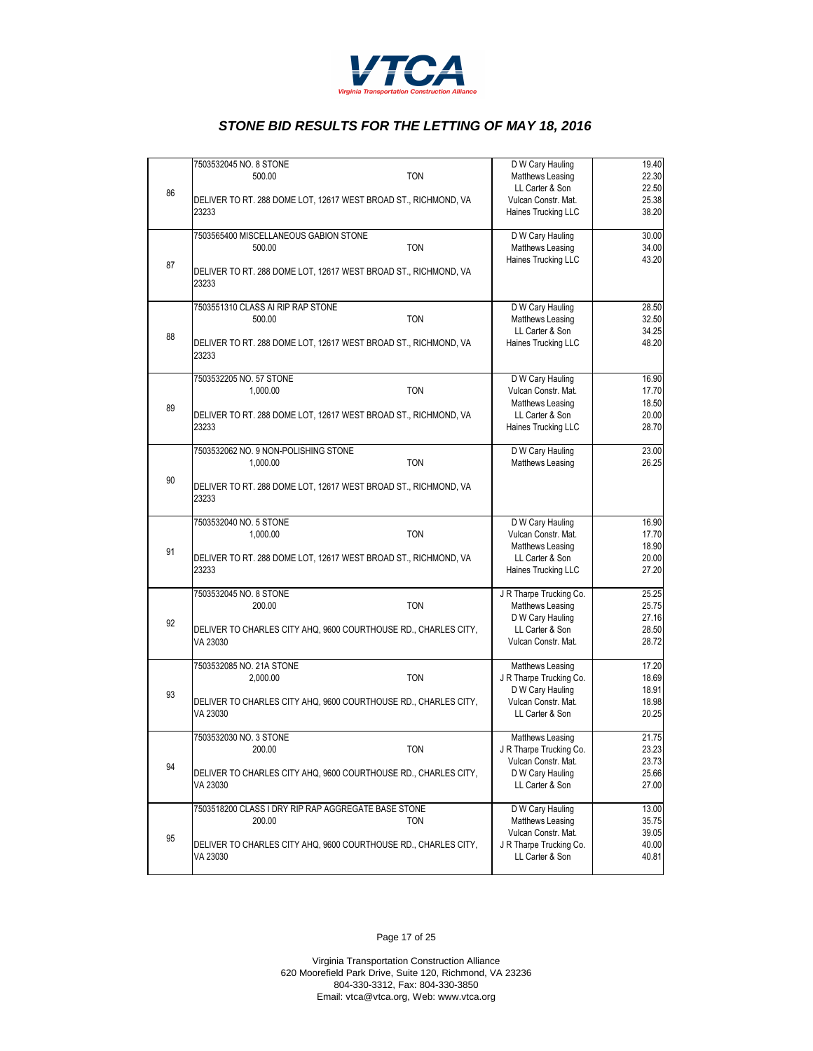

|    | 7503532045 NO. 8 STONE                                                      | D W Cary Hauling                           | 19.40                                                                                  |
|----|-----------------------------------------------------------------------------|--------------------------------------------|----------------------------------------------------------------------------------------|
|    | <b>TON</b><br>500.00                                                        | Matthews Leasing                           | 22.30                                                                                  |
| 86 |                                                                             | LL Carter & Son                            | 22.50                                                                                  |
|    | DELIVER TO RT. 288 DOME LOT, 12617 WEST BROAD ST., RICHMOND, VA             | Vulcan Constr. Mat.                        | 25.38                                                                                  |
|    | 23233                                                                       | Haines Trucking LLC                        | 38.20                                                                                  |
|    | 7503565400 MISCELLANEOUS GABION STONE                                       | D W Cary Hauling                           | 30.00                                                                                  |
|    | <b>TON</b><br>500.00                                                        | Matthews Leasing                           | 34.00                                                                                  |
|    |                                                                             | Haines Trucking LLC                        | 43.20                                                                                  |
| 87 | DELIVER TO RT. 288 DOME LOT, 12617 WEST BROAD ST., RICHMOND, VA             |                                            |                                                                                        |
|    | 23233                                                                       |                                            |                                                                                        |
|    | 7503551310 CLASS AI RIP RAP STONE                                           |                                            | 28.50                                                                                  |
|    | <b>TON</b>                                                                  | D W Cary Hauling                           |                                                                                        |
|    | 500.00                                                                      | Matthews Leasing                           | 32.50                                                                                  |
| 88 |                                                                             | LL Carter & Son                            | 34.25                                                                                  |
|    | DELIVER TO RT. 288 DOME LOT, 12617 WEST BROAD ST., RICHMOND, VA<br>23233    | Haines Trucking LLC                        | 48.20                                                                                  |
|    | 7503532205 NO. 57 STONE                                                     | D W Cary Hauling                           | 16.90                                                                                  |
|    | 1,000.00<br><b>TON</b>                                                      | Vulcan Constr. Mat.                        | 17.70                                                                                  |
|    |                                                                             | Matthews Leasing                           | 18.50                                                                                  |
| 89 | DELIVER TO RT. 288 DOME LOT, 12617 WEST BROAD ST., RICHMOND, VA             | LL Carter & Son                            | 20.00                                                                                  |
|    | 23233                                                                       | Haines Trucking LLC                        | 28.70                                                                                  |
|    |                                                                             |                                            |                                                                                        |
|    | 7503532062 NO. 9 NON-POLISHING STONE                                        | D W Cary Hauling                           | 23.00                                                                                  |
|    | <b>TON</b><br>1,000.00                                                      | Matthews Leasing                           | 26.25                                                                                  |
| 90 |                                                                             |                                            |                                                                                        |
|    | DELIVER TO RT. 288 DOME LOT, 12617 WEST BROAD ST., RICHMOND, VA             |                                            |                                                                                        |
|    | 23233                                                                       |                                            |                                                                                        |
|    | 7503532040 NO. 5 STONE                                                      | D W Cary Hauling                           | 16.90                                                                                  |
|    | 1,000.00<br><b>TON</b>                                                      | Vulcan Constr. Mat.                        | 17.70                                                                                  |
|    |                                                                             |                                            |                                                                                        |
|    |                                                                             |                                            |                                                                                        |
| 91 |                                                                             | Matthews Leasing                           |                                                                                        |
|    | DELIVER TO RT. 288 DOME LOT, 12617 WEST BROAD ST., RICHMOND, VA             | LL Carter & Son                            | 18.90<br>20.00                                                                         |
|    | 23233                                                                       | Haines Trucking LLC                        | 27.20                                                                                  |
|    | 7503532045 NO. 8 STONE                                                      | J R Tharpe Trucking Co.                    |                                                                                        |
|    | 200.00<br><b>TON</b>                                                        | Matthews Leasing                           |                                                                                        |
|    |                                                                             | D W Cary Hauling                           |                                                                                        |
| 92 | DELIVER TO CHARLES CITY AHQ, 9600 COURTHOUSE RD., CHARLES CITY,             | LL Carter & Son                            |                                                                                        |
|    | VA 23030                                                                    | Vulcan Constr. Mat.                        |                                                                                        |
|    | 7503532085 NO. 21A STONE                                                    | Matthews Leasing                           |                                                                                        |
|    | <b>TON</b><br>2.000.00                                                      | J R Tharpe Trucking Co.                    |                                                                                        |
|    |                                                                             |                                            |                                                                                        |
| 93 |                                                                             | D W Cary Hauling                           | 18.91                                                                                  |
|    | DELIVER TO CHARLES CITY AHQ, 9600 COURTHOUSE RD., CHARLES CITY,<br>VA 23030 | Vulcan Constr. Mat.<br>LL Carter & Son     |                                                                                        |
|    |                                                                             |                                            |                                                                                        |
|    | 7503532030 NO. 3 STONE                                                      | Matthews Leasing                           |                                                                                        |
|    | <b>TON</b><br>200.00                                                        | J R Tharpe Trucking Co.                    |                                                                                        |
| 94 |                                                                             | Vulcan Constr. Mat.                        | 25.25<br>25.75<br>27.16<br>28.50<br>28.72<br>17.20<br>18.69<br>18.98<br>20.25<br>21.75 |
|    | DELIVER TO CHARLES CITY AHQ, 9600 COURTHOUSE RD., CHARLES CITY,             | D W Cary Hauling                           |                                                                                        |
|    | VA 23030                                                                    | LL Carter & Son                            |                                                                                        |
|    |                                                                             |                                            |                                                                                        |
|    | 7503518200 CLASS I DRY RIP RAP AGGREGATE BASE STONE                         | D W Cary Hauling                           | 27.00                                                                                  |
|    | TON<br>200.00                                                               | Matthews Leasing                           | 35.75                                                                                  |
| 95 |                                                                             | Vulcan Constr. Mat.                        | 23.23<br>23.73<br>25.66<br>13.00<br>39.05                                              |
|    | DELIVER TO CHARLES CITY AHQ, 9600 COURTHOUSE RD., CHARLES CITY,<br>VA 23030 | J R Tharpe Trucking Co.<br>LL Carter & Son | 40.00<br>40.81                                                                         |

Page 17 of 25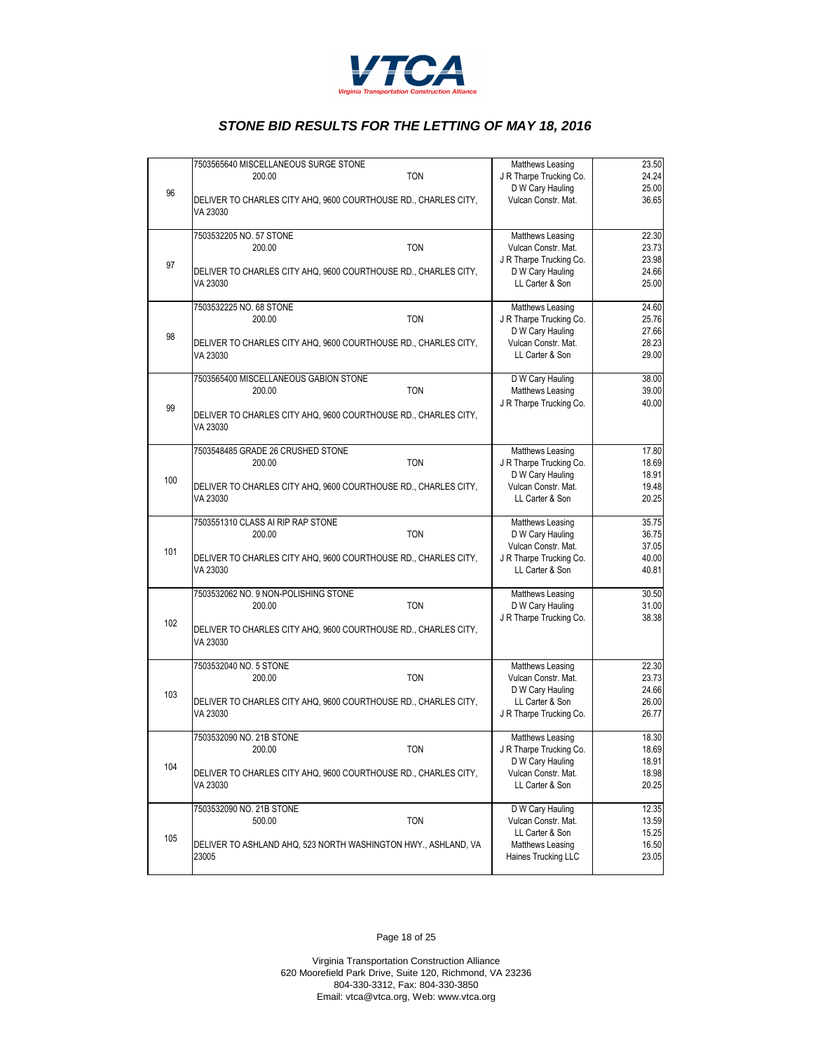

|     | 7503565640 MISCELLANEOUS SURGE STONE<br><b>TON</b><br>200.00                | Matthews Leasing<br>J R Tharpe Trucking Co. | 23.50<br>24.24 |
|-----|-----------------------------------------------------------------------------|---------------------------------------------|----------------|
| 96  | DELIVER TO CHARLES CITY AHQ, 9600 COURTHOUSE RD., CHARLES CITY,             | D W Cary Hauling<br>Vulcan Constr. Mat.     | 25.00<br>36.65 |
|     | VA 23030                                                                    |                                             |                |
|     | 7503532205 NO. 57 STONE<br><b>TON</b><br>200.00                             | Matthews Leasing<br>Vulcan Constr. Mat.     | 22.30<br>23.73 |
| 97  |                                                                             | J R Tharpe Trucking Co.                     | 23.98          |
|     | DELIVER TO CHARLES CITY AHQ, 9600 COURTHOUSE RD., CHARLES CITY,<br>VA 23030 | D W Cary Hauling<br>LL Carter & Son         | 24.66<br>25.00 |
|     | 7503532225 NO. 68 STONE                                                     | Matthews Leasing                            | 24.60          |
|     | <b>TON</b><br>200.00                                                        | J R Tharpe Trucking Co.<br>D W Cary Hauling | 25.76<br>27.66 |
| 98  | DELIVER TO CHARLES CITY AHQ, 9600 COURTHOUSE RD., CHARLES CITY,<br>VA 23030 | Vulcan Constr. Mat.<br>LL Carter & Son      | 28.23<br>29.00 |
|     | 7503565400 MISCELLANEOUS GABION STONE                                       | D W Cary Hauling                            | 38.00          |
|     | <b>TON</b><br>200.00                                                        | Matthews Leasing                            | 39.00          |
| 99  | DELIVER TO CHARLES CITY AHQ, 9600 COURTHOUSE RD., CHARLES CITY,<br>VA 23030 | J R Tharpe Trucking Co.                     | 40.00          |
|     |                                                                             |                                             |                |
|     | 7503548485 GRADE 26 CRUSHED STONE<br><b>TON</b><br>200.00                   | Matthews Leasing<br>J R Tharpe Trucking Co. | 17.80<br>18.69 |
| 100 |                                                                             | D W Cary Hauling                            | 18.91          |
|     | DELIVER TO CHARLES CITY AHQ, 9600 COURTHOUSE RD., CHARLES CITY,<br>VA 23030 | Vulcan Constr. Mat.<br>LL Carter & Son      | 19.48<br>20.25 |
|     | 7503551310 CLASS AI RIP RAP STONE                                           | Matthews Leasing                            | 35.75          |
|     | <b>TON</b><br>200.00                                                        | D W Cary Hauling<br>Vulcan Constr. Mat.     | 36.75<br>37.05 |
| 101 | DELIVER TO CHARLES CITY AHQ, 9600 COURTHOUSE RD., CHARLES CITY,             | J R Tharpe Trucking Co.                     | 40.00          |
|     | VA 23030                                                                    | LL Carter & Son                             | 40.81          |
|     | 7503532062 NO. 9 NON-POLISHING STONE                                        | Matthews Leasing                            | 30.50          |
|     | <b>TON</b><br>200.00                                                        | D W Cary Hauling<br>J R Tharpe Trucking Co. | 31.00<br>38.38 |
| 102 | DELIVER TO CHARLES CITY AHQ, 9600 COURTHOUSE RD., CHARLES CITY,<br>VA 23030 |                                             |                |
|     | 7503532040 NO. 5 STONE                                                      | Matthews Leasing                            | 22.30          |
|     | <b>TON</b><br>200.00                                                        | Vulcan Constr. Mat.<br>D W Cary Hauling     | 23.73<br>24.66 |
| 103 | DELIVER TO CHARLES CITY AHQ, 9600 COURTHOUSE RD., CHARLES CITY,             | LL Carter & Son                             | 26.00          |
|     | VA 23030                                                                    | J R Tharpe Trucking Co.                     | 26.77          |
|     | 7503532090 NO. 21B STONE                                                    | Matthews Leasing                            | 18.30          |
|     | <b>TON</b><br>200.00                                                        | J R Tharpe Trucking Co.<br>D W Cary Hauling | 18.69<br>18.91 |
| 104 | DELIVER TO CHARLES CITY AHQ, 9600 COURTHOUSE RD., CHARLES CITY,<br>VA 23030 | Vulcan Constr. Mat.<br>LL Carter & Son      | 18.98<br>20.25 |
|     | 7503532090 NO. 21B STONE                                                    | D W Cary Hauling                            | 12.35          |
|     | <b>TON</b><br>500.00                                                        | Vulcan Constr. Mat.<br>LL Carter & Son      | 13.59<br>15.25 |
| 105 | DELIVER TO ASHLAND AHQ, 523 NORTH WASHINGTON HWY., ASHLAND, VA              | Matthews Leasing                            | 16.50          |
|     | 23005                                                                       | Haines Trucking LLC                         | 23.05          |

Page 18 of 25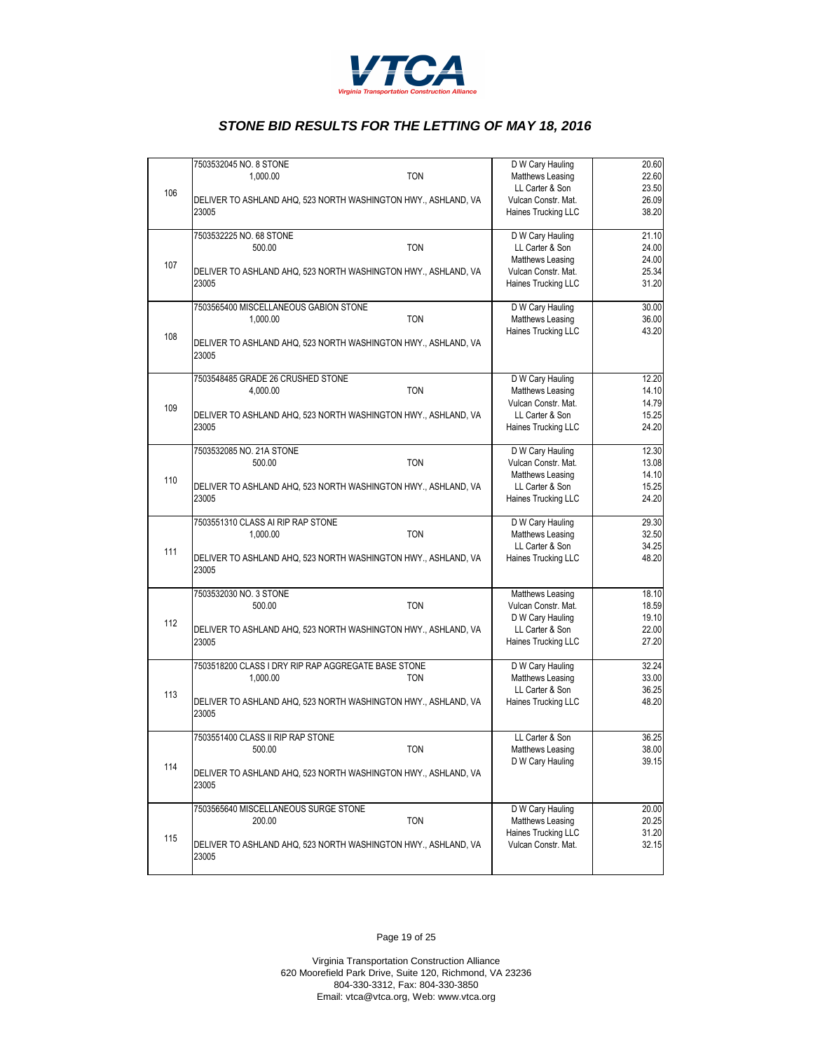

|     | 7503532045 NO. 8 STONE                                                  | D W Cary Hauling    | 20.60 |
|-----|-------------------------------------------------------------------------|---------------------|-------|
| 106 | <b>TON</b><br>1,000.00                                                  | Matthews Leasing    | 22.60 |
|     |                                                                         | LL Carter & Son     | 23.50 |
|     | DELIVER TO ASHLAND AHQ, 523 NORTH WASHINGTON HWY., ASHLAND, VA          | Vulcan Constr. Mat. | 26.09 |
|     | 23005                                                                   | Haines Trucking LLC | 38.20 |
|     | 7503532225 NO. 68 STONE                                                 | D W Cary Hauling    | 21.10 |
|     | 500.00<br><b>TON</b>                                                    | LL Carter & Son     | 24.00 |
|     |                                                                         | Matthews Leasing    | 24.00 |
| 107 | DELIVER TO ASHLAND AHQ, 523 NORTH WASHINGTON HWY., ASHLAND, VA          | Vulcan Constr. Mat. | 25.34 |
|     | 23005                                                                   | Haines Trucking LLC | 31.20 |
|     | 7503565400 MISCELLANEOUS GABION STONE                                   | D W Cary Hauling    | 30.00 |
|     | <b>TON</b><br>1,000.00                                                  | Matthews Leasing    | 36.00 |
|     |                                                                         | Haines Trucking LLC | 43.20 |
| 108 | DELIVER TO ASHLAND AHQ, 523 NORTH WASHINGTON HWY., ASHLAND, VA<br>23005 |                     |       |
|     | 7503548485 GRADE 26 CRUSHED STONE                                       | D W Cary Hauling    | 12.20 |
|     | <b>TON</b><br>4,000.00                                                  | Matthews Leasing    | 14.10 |
| 109 |                                                                         | Vulcan Constr. Mat. | 14.79 |
|     | DELIVER TO ASHLAND AHQ, 523 NORTH WASHINGTON HWY., ASHLAND, VA          | LL Carter & Son     | 15.25 |
|     | 23005                                                                   | Haines Trucking LLC | 24.20 |
|     | 7503532085 NO. 21A STONE                                                | D W Cary Hauling    | 12.30 |
|     | 500.00<br><b>TON</b>                                                    | Vulcan Constr. Mat. | 13.08 |
| 110 |                                                                         | Matthews Leasing    | 14.10 |
|     | DELIVER TO ASHLAND AHQ, 523 NORTH WASHINGTON HWY., ASHLAND, VA          | LL Carter & Son     | 15.25 |
|     | 23005                                                                   | Haines Trucking LLC | 24.20 |
|     | 7503551310 CLASS AI RIP RAP STONE                                       | D W Cary Hauling    | 29.30 |
|     | <b>TON</b><br>1,000.00                                                  | Matthews Leasing    | 32.50 |
| 111 |                                                                         | LL Carter & Son     | 34.25 |
|     | DELIVER TO ASHLAND AHQ, 523 NORTH WASHINGTON HWY., ASHLAND, VA<br>23005 | Haines Trucking LLC | 48.20 |
|     | 7503532030 NO. 3 STONE                                                  | Matthews Leasing    | 18.10 |
|     | 500.00<br><b>TON</b>                                                    | Vulcan Constr. Mat. | 18.59 |
| 112 |                                                                         | D W Cary Hauling    | 19.10 |
|     | DELIVER TO ASHLAND AHQ, 523 NORTH WASHINGTON HWY., ASHLAND, VA          | LL Carter & Son     | 22.00 |
|     | 23005                                                                   | Haines Trucking LLC | 27.20 |
|     | 7503518200 CLASS I DRY RIP RAP AGGREGATE BASE STONE                     | D W Cary Hauling    | 32.24 |
|     | 1,000.00<br><b>TON</b>                                                  | Matthews Leasing    | 33.00 |
| 113 |                                                                         | LL Carter & Son     | 36.25 |
|     | DELIVER TO ASHLAND AHQ, 523 NORTH WASHINGTON HWY., ASHLAND, VA<br>23005 | Haines Trucking LLC | 48.20 |
|     | 7503551400 CLASS II RIP RAP STONE                                       | LL Carter & Son     | 36.25 |
|     | <b>TON</b><br>500.00                                                    | Matthews Leasing    | 38.00 |
| 114 |                                                                         | D W Cary Hauling    | 39.15 |
|     | DELIVER TO ASHLAND AHQ, 523 NORTH WASHINGTON HWY., ASHLAND, VA<br>23005 |                     |       |
|     | 7503565640 MISCELLANEOUS SURGE STONE                                    | D W Cary Hauling    | 20.00 |
|     | <b>TON</b><br>200.00                                                    | Matthews Leasing    | 20.25 |
| 115 |                                                                         | Haines Trucking LLC | 31.20 |
|     | DELIVER TO ASHLAND AHQ, 523 NORTH WASHINGTON HWY., ASHLAND, VA<br>23005 | Vulcan Constr. Mat. | 32.15 |

Page 19 of 25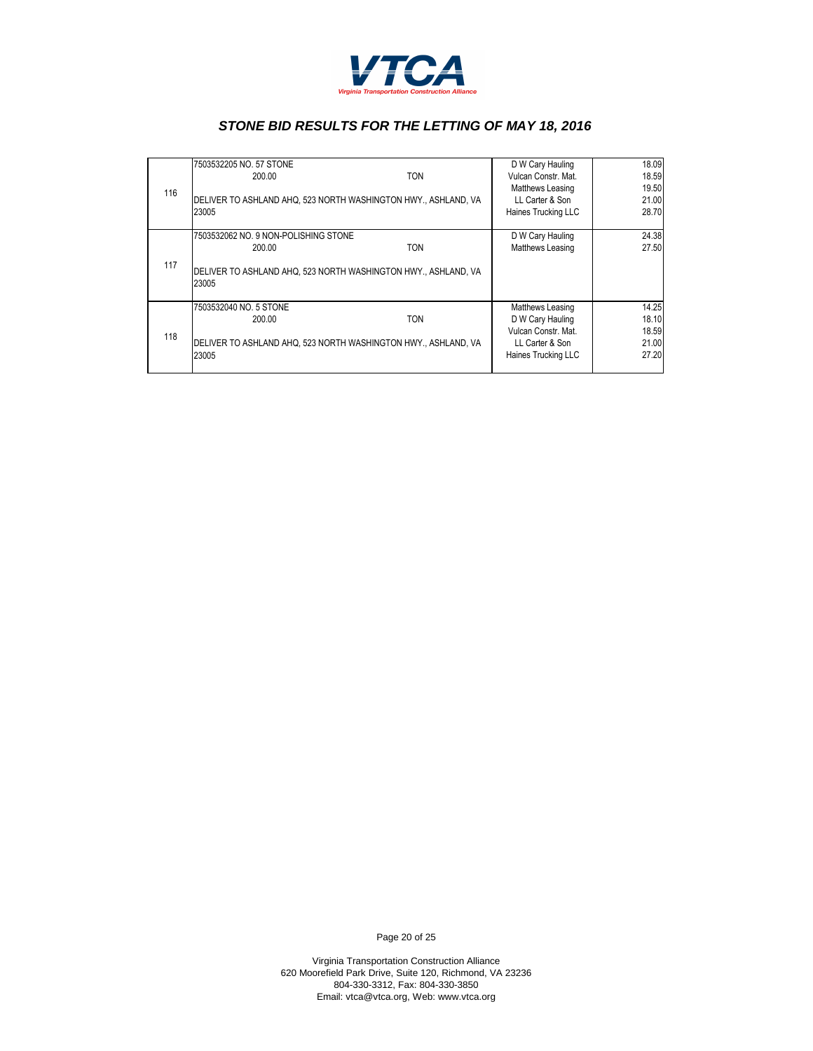

|     | 7503532205 NO. 57 STONE                                                 |            | D W Cary Hauling    | 18.09 |
|-----|-------------------------------------------------------------------------|------------|---------------------|-------|
|     | 200.00                                                                  | TON        | Vulcan Constr. Mat. | 18.59 |
| 116 |                                                                         |            | Matthews Leasing    | 19.50 |
|     | DELIVER TO ASHLAND AHQ, 523 NORTH WASHINGTON HWY., ASHLAND, VA          |            | LL Carter & Son     | 21.00 |
|     | 23005                                                                   |            | Haines Trucking LLC | 28.70 |
|     |                                                                         |            |                     |       |
|     | 7503532062 NO. 9 NON-POLISHING STONE                                    |            | D W Cary Hauling    | 24.38 |
|     | 200.00                                                                  | <b>TON</b> | Matthews Leasing    | 27.50 |
| 117 | DELIVER TO ASHLAND AHQ, 523 NORTH WASHINGTON HWY., ASHLAND, VA<br>23005 |            |                     |       |
|     | 7503532040 NO. 5 STONE                                                  |            | Matthews Leasing    | 14.25 |
|     | 200.00                                                                  | <b>TON</b> | D W Cary Hauling    | 18.10 |
| 118 |                                                                         |            | Vulcan Constr. Mat. | 18.59 |
|     | DELIVER TO ASHLAND AHQ, 523 NORTH WASHINGTON HWY., ASHLAND, VA          |            | LL Carter & Son     | 21.00 |
|     | 23005                                                                   |            | Haines Trucking LLC | 27.20 |
|     |                                                                         |            |                     |       |

Page 20 of 25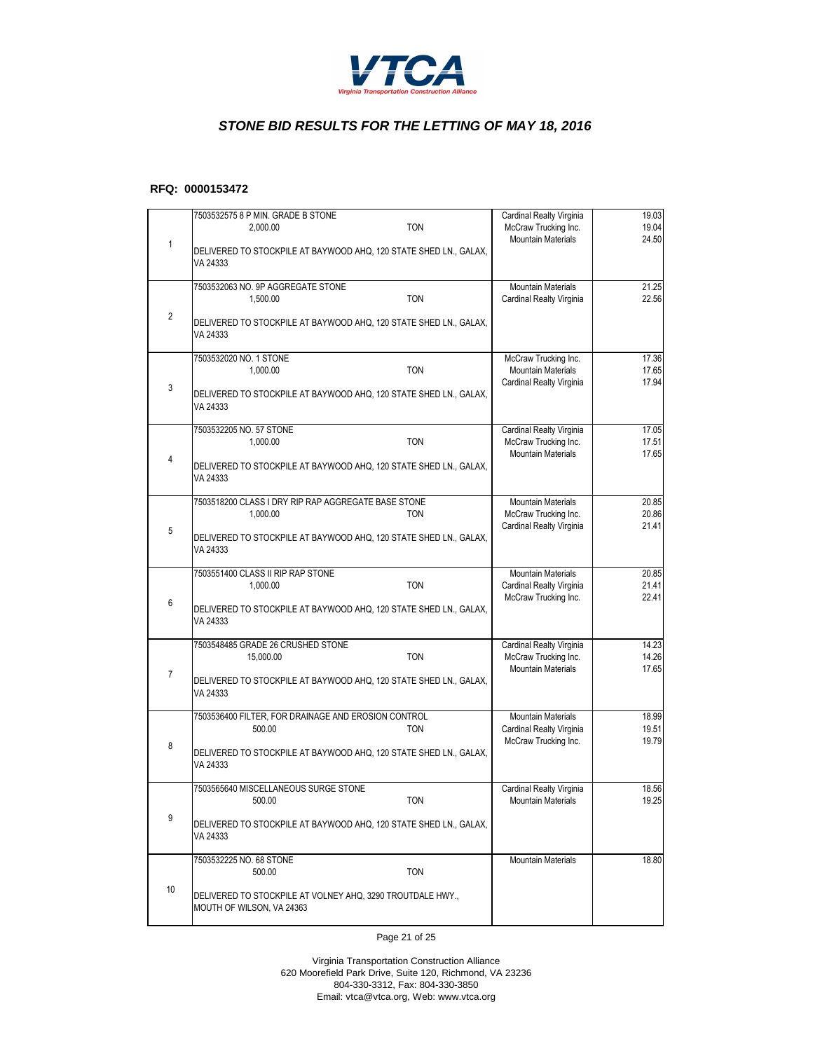

#### **RFQ: 0000153472**

|                | 7503532575 8 P MIN. GRADE B STONE<br><b>TON</b><br>2,000.00                             | Cardinal Realty Virginia<br>McCraw Trucking Inc.<br><b>Mountain Materials</b> | 19.03<br>19.04<br>24.50 |
|----------------|-----------------------------------------------------------------------------------------|-------------------------------------------------------------------------------|-------------------------|
| 1              | DELIVERED TO STOCKPILE AT BAYWOOD AHQ, 120 STATE SHED LN., GALAX,<br>VA 24333           |                                                                               |                         |
|                | 7503532063 NO. 9P AGGREGATE STONE<br>1,500.00<br><b>TON</b>                             | <b>Mountain Materials</b><br><b>Cardinal Realty Virginia</b>                  | 21.25<br>22.56          |
| $\overline{2}$ | DELIVERED TO STOCKPILE AT BAYWOOD AHQ, 120 STATE SHED LN., GALAX,<br>VA 24333           |                                                                               |                         |
|                | 7503532020 NO. 1 STONE<br>1,000.00<br><b>TON</b>                                        | McCraw Trucking Inc.<br><b>Mountain Materials</b>                             | 17.36<br>17.65          |
| 3              | DELIVERED TO STOCKPILE AT BAYWOOD AHQ, 120 STATE SHED LN., GALAX,<br>VA 24333           | <b>Cardinal Realty Virginia</b>                                               | 17.94                   |
|                | 7503532205 NO. 57 STONE<br><b>TON</b><br>1,000.00                                       | Cardinal Realty Virginia<br>McCraw Trucking Inc.                              | 17.05<br>17.51          |
| $\overline{4}$ | DELIVERED TO STOCKPILE AT BAYWOOD AHQ, 120 STATE SHED LN., GALAX,<br>VA 24333           | <b>Mountain Materials</b>                                                     | 17.65                   |
|                | 7503518200 CLASS I DRY RIP RAP AGGREGATE BASE STONE<br>1,000.00<br><b>TON</b>           | <b>Mountain Materials</b><br>McCraw Trucking Inc.                             | 20.85<br>20.86          |
| 5              | DELIVERED TO STOCKPILE AT BAYWOOD AHQ, 120 STATE SHED LN., GALAX,<br>VA 24333           | <b>Cardinal Realty Virginia</b>                                               | 21.41                   |
|                | 7503551400 CLASS II RIP RAP STONE<br><b>TON</b><br>1,000.00                             | <b>Mountain Materials</b><br>Cardinal Realty Virginia                         | 20.85<br>21.41          |
| 6              | DELIVERED TO STOCKPILE AT BAYWOOD AHQ, 120 STATE SHED LN., GALAX,<br>VA 24333           | McCraw Trucking Inc.                                                          | 22.41                   |
|                | 7503548485 GRADE 26 CRUSHED STONE<br><b>TON</b><br>15,000.00                            | Cardinal Realty Virginia<br>McCraw Trucking Inc.                              | 14.23<br>14.26          |
| $\overline{7}$ | DELIVERED TO STOCKPILE AT BAYWOOD AHQ, 120 STATE SHED LN., GALAX,<br>VA 24333           | <b>Mountain Materials</b>                                                     | 17.65                   |
|                | 7503536400 FILTER, FOR DRAINAGE AND EROSION CONTROL<br><b>TON</b><br>500.00             | <b>Mountain Materials</b><br><b>Cardinal Realty Virginia</b>                  | 18.99<br>19.51          |
| 8              | DELIVERED TO STOCKPILE AT BAYWOOD AHQ, 120 STATE SHED LN., GALAX,<br>VA 24333           | McCraw Trucking Inc.                                                          | 19.79                   |
|                | 7503565640 MISCELLANEOUS SURGE STONE<br><b>TON</b><br>500.00                            | <b>Cardinal Realty Virginia</b><br><b>Mountain Materials</b>                  | 18.56<br>19.25          |
| 9              | DELIVERED TO STOCKPILE AT BAYWOOD AHQ, 120 STATE SHED LN., GALAX,<br>VA 24333           |                                                                               |                         |
|                | 7503532225 NO. 68 STONE<br>500.00<br><b>TON</b>                                         | <b>Mountain Materials</b>                                                     | 18.80                   |
| 10             | DELIVERED TO STOCKPILE AT VOLNEY AHQ, 3290 TROUTDALE HWY.,<br>MOUTH OF WILSON, VA 24363 |                                                                               |                         |

Page 21 of 25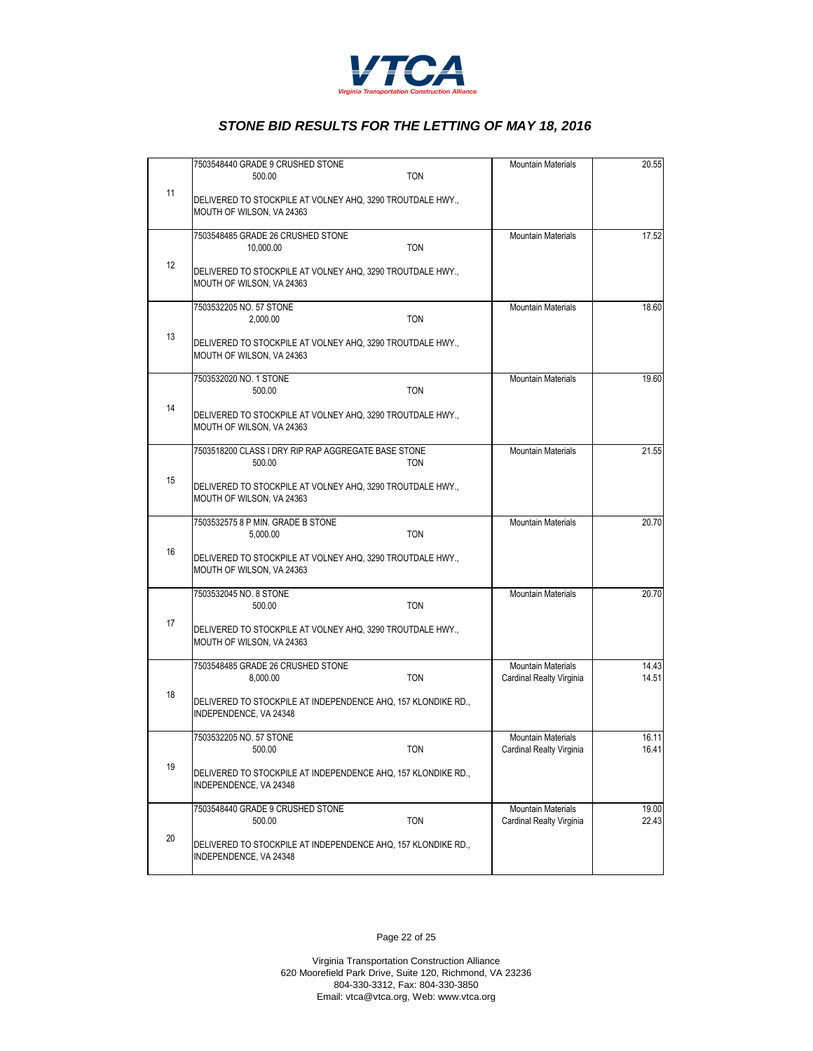

|    | 7503548440 GRADE 9 CRUSHED STONE                                                        | <b>Mountain Materials</b> | 20.55 |
|----|-----------------------------------------------------------------------------------------|---------------------------|-------|
|    | <b>TON</b><br>500.00                                                                    |                           |       |
| 11 | DELIVERED TO STOCKPILE AT VOLNEY AHQ, 3290 TROUTDALE HWY.,<br>MOUTH OF WILSON, VA 24363 |                           |       |
|    | 7503548485 GRADE 26 CRUSHED STONE                                                       | <b>Mountain Materials</b> | 17.52 |
|    | <b>TON</b><br>10,000.00                                                                 |                           |       |
| 12 | DELIVERED TO STOCKPILE AT VOLNEY AHQ, 3290 TROUTDALE HWY.,<br>MOUTH OF WILSON, VA 24363 |                           |       |
|    | 7503532205 NO. 57 STONE                                                                 | <b>Mountain Materials</b> | 18.60 |
|    | <b>TON</b><br>2,000.00                                                                  |                           |       |
| 13 | DELIVERED TO STOCKPILE AT VOLNEY AHQ, 3290 TROUTDALE HWY.,<br>MOUTH OF WILSON, VA 24363 |                           |       |
|    | 7503532020 NO. 1 STONE                                                                  | <b>Mountain Materials</b> | 19.60 |
|    | 500.00<br><b>TON</b>                                                                    |                           |       |
| 14 | DELIVERED TO STOCKPILE AT VOLNEY AHQ, 3290 TROUTDALE HWY.,<br>MOUTH OF WILSON, VA 24363 |                           |       |
|    | 7503518200 CLASS I DRY RIP RAP AGGREGATE BASE STONE                                     | <b>Mountain Materials</b> | 21.55 |
|    | 500.00<br>TON                                                                           |                           |       |
| 15 | DELIVERED TO STOCKPILE AT VOLNEY AHQ, 3290 TROUTDALE HWY.,<br>MOUTH OF WILSON, VA 24363 |                           |       |
|    | 7503532575 8 P MIN. GRADE B STONE                                                       | <b>Mountain Materials</b> | 20.70 |
|    | <b>TON</b><br>5,000.00                                                                  |                           |       |
| 16 | DELIVERED TO STOCKPILE AT VOLNEY AHQ, 3290 TROUTDALE HWY.,<br>MOUTH OF WILSON, VA 24363 |                           |       |
|    | 7503532045 NO. 8 STONE                                                                  | <b>Mountain Materials</b> | 20.70 |
|    | 500.00<br><b>TON</b>                                                                    |                           |       |
| 17 | DELIVERED TO STOCKPILE AT VOLNEY AHQ, 3290 TROUTDALE HWY.,<br>MOUTH OF WILSON, VA 24363 |                           |       |
|    | 7503548485 GRADE 26 CRUSHED STONE                                                       | <b>Mountain Materials</b> | 14.43 |
|    | <b>TON</b><br>8,000.00                                                                  | Cardinal Realty Virginia  | 14.51 |
| 18 | DELIVERED TO STOCKPILE AT INDEPENDENCE AHQ, 157 KLONDIKE RD.,<br>INDEPENDENCE, VA 24348 |                           |       |
|    | 7503532205 NO. 57 STONE                                                                 | <b>Mountain Materials</b> | 16.11 |
|    | 500.00<br>TON                                                                           | Cardinal Realty Virginia  | 16.41 |
| 19 | DELIVERED TO STOCKPILE AT INDEPENDENCE AHQ, 157 KLONDIKE RD.,<br>INDEPENDENCE, VA 24348 |                           |       |
|    | 7503548440 GRADE 9 CRUSHED STONE                                                        | <b>Mountain Materials</b> | 19.00 |
|    | <b>TON</b><br>500.00                                                                    | Cardinal Realty Virginia  | 22.43 |
| 20 | DELIVERED TO STOCKPILE AT INDEPENDENCE AHQ, 157 KLONDIKE RD.,<br>INDEPENDENCE, VA 24348 |                           |       |

Page 22 of 25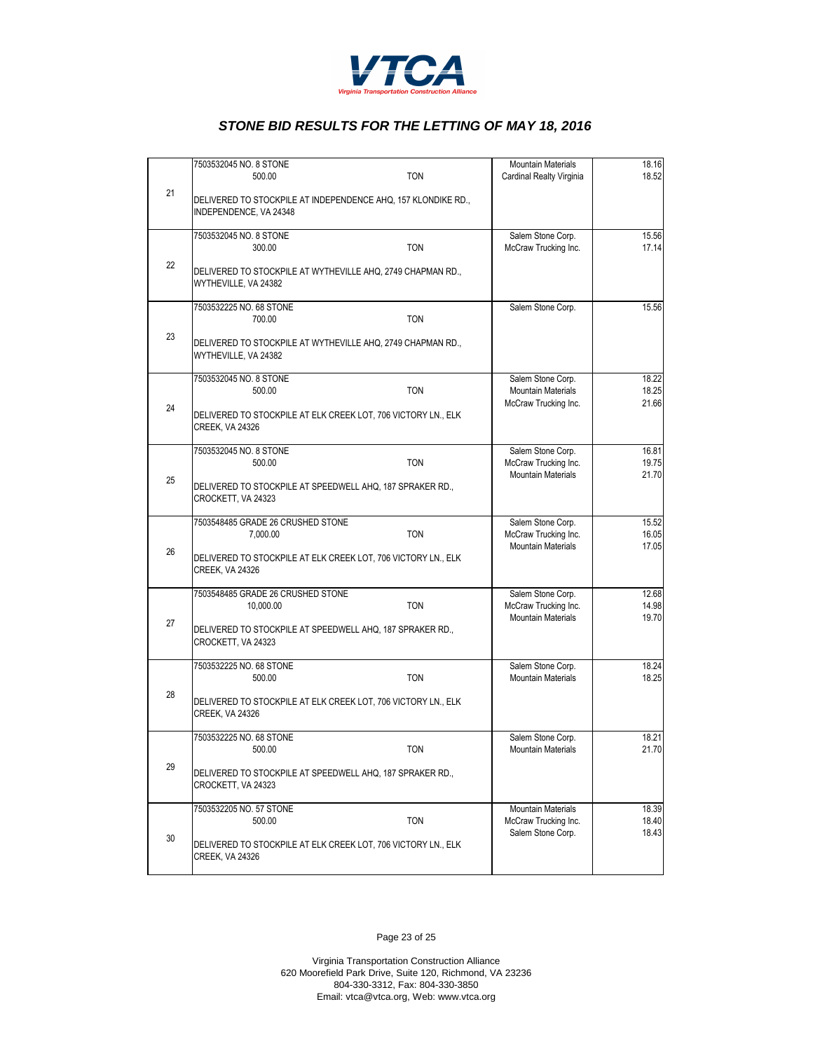

|    | 7503532045 NO. 8 STONE                                                                  | Mountain Materials                                | 18.16          |
|----|-----------------------------------------------------------------------------------------|---------------------------------------------------|----------------|
|    | <b>TON</b><br>500.00                                                                    | <b>Cardinal Realty Virginia</b>                   | 18.52          |
| 21 | DELIVERED TO STOCKPILE AT INDEPENDENCE AHQ, 157 KLONDIKE RD.,<br>INDEPENDENCE, VA 24348 |                                                   |                |
|    | 7503532045 NO. 8 STONE                                                                  | Salem Stone Corp.                                 | 15.56          |
|    | <b>TON</b><br>300.00                                                                    | McCraw Trucking Inc.                              | 17.14          |
| 22 | DELIVERED TO STOCKPILE AT WYTHEVILLE AHQ, 2749 CHAPMAN RD.,<br>WYTHEVILLE, VA 24382     |                                                   |                |
|    | 7503532225 NO. 68 STONE<br>700.00<br><b>TON</b>                                         | Salem Stone Corp.                                 | 15.56          |
| 23 | DELIVERED TO STOCKPILE AT WYTHEVILLE AHQ, 2749 CHAPMAN RD.,<br>WYTHEVILLE, VA 24382     |                                                   |                |
|    | 7503532045 NO. 8 STONE<br><b>TON</b><br>500.00                                          | Salem Stone Corp.<br><b>Mountain Materials</b>    | 18.22<br>18.25 |
| 24 | DELIVERED TO STOCKPILE AT ELK CREEK LOT, 706 VICTORY LN., ELK<br><b>CREEK, VA 24326</b> | McCraw Trucking Inc.                              | 21.66          |
|    | 7503532045 NO. 8 STONE                                                                  | Salem Stone Corp.                                 | 16.81          |
|    | <b>TON</b><br>500.00                                                                    | McCraw Trucking Inc.<br><b>Mountain Materials</b> | 19.75<br>21.70 |
| 25 | DELIVERED TO STOCKPILE AT SPEEDWELL AHQ, 187 SPRAKER RD.,<br>CROCKETT, VA 24323         |                                                   |                |
|    | 7503548485 GRADE 26 CRUSHED STONE                                                       | Salem Stone Corp.                                 | 15.52          |
|    | <b>TON</b><br>7,000.00                                                                  | McCraw Trucking Inc.                              | 16.05          |
| 26 | DELIVERED TO STOCKPILE AT ELK CREEK LOT, 706 VICTORY LN., ELK<br><b>CREEK, VA 24326</b> | <b>Mountain Materials</b>                         | 17.05          |
|    | 7503548485 GRADE 26 CRUSHED STONE                                                       | Salem Stone Corp.                                 | 12.68          |
|    | <b>TON</b><br>10,000.00                                                                 | McCraw Trucking Inc.                              | 14.98          |
| 27 | DELIVERED TO STOCKPILE AT SPEEDWELL AHQ, 187 SPRAKER RD.,<br>CROCKETT, VA 24323         | <b>Mountain Materials</b>                         | 19.70          |
|    | 7503532225 NO. 68 STONE                                                                 | Salem Stone Corp.                                 | 18.24          |
|    | <b>TON</b><br>500.00                                                                    | <b>Mountain Materials</b>                         | 18.25          |
| 28 | DELIVERED TO STOCKPILE AT ELK CREEK LOT, 706 VICTORY LN., ELK<br><b>CREEK, VA 24326</b> |                                                   |                |
|    | 7503532225 NO. 68 STONE                                                                 | Salem Stone Corp.                                 | 18.21          |
|    | 500.00<br>TON                                                                           | Mountain Materials                                | 21.70          |
| 29 | DELIVERED TO STOCKPILE AT SPEEDWELL AHQ, 187 SPRAKER RD.,<br>CROCKETT, VA 24323         |                                                   |                |
|    | 7503532205 NO. 57 STONE                                                                 | <b>Mountain Materials</b>                         | 18.39          |
|    | <b>TON</b><br>500.00                                                                    | McCraw Trucking Inc.<br>Salem Stone Corp.         | 18.40          |
| 30 | DELIVERED TO STOCKPILE AT ELK CREEK LOT, 706 VICTORY LN., ELK<br><b>CREEK, VA 24326</b> |                                                   | 18.43          |

Page 23 of 25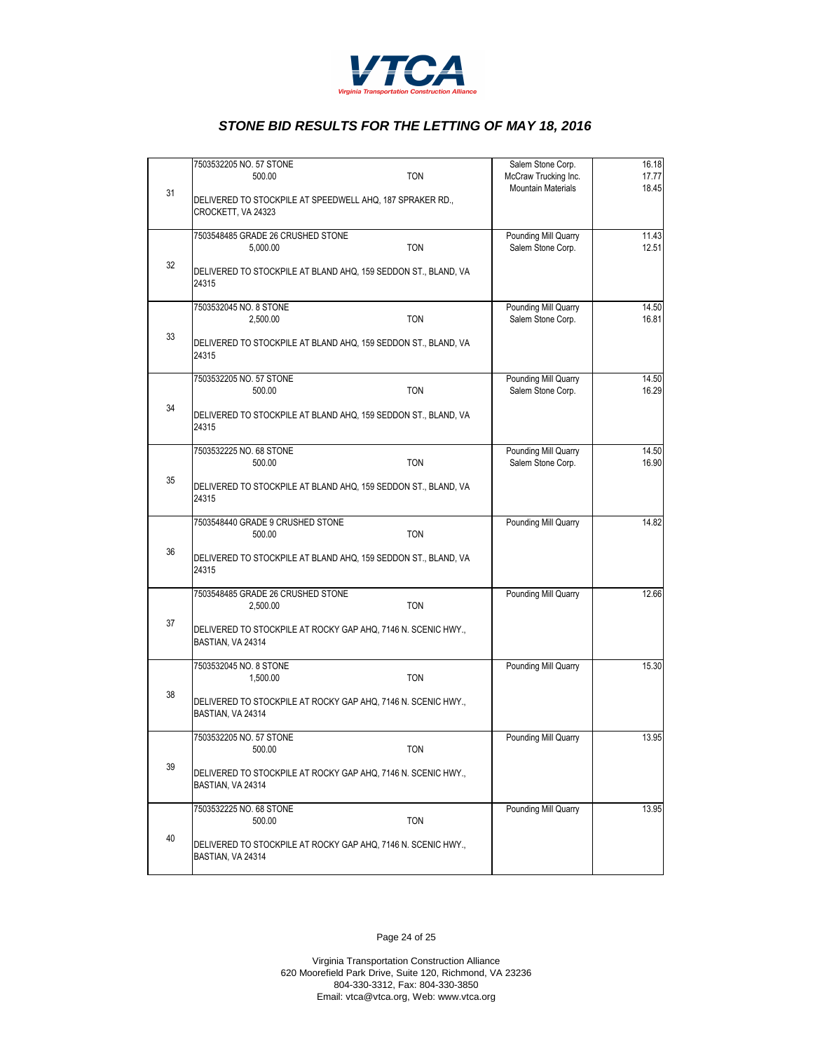

|    | 7503532205 NO. 57 STONE<br><b>TON</b><br>500.00                                    | Salem Stone Corp.<br>McCraw Trucking Inc. | 16.18<br>17.77 |
|----|------------------------------------------------------------------------------------|-------------------------------------------|----------------|
| 31 | DELIVERED TO STOCKPILE AT SPEEDWELL AHQ, 187 SPRAKER RD.,<br>CROCKETT, VA 24323    | <b>Mountain Materials</b>                 | 18.45          |
|    | 7503548485 GRADE 26 CRUSHED STONE                                                  | Pounding Mill Quarry                      | 11.43          |
|    | <b>TON</b><br>5.000.00                                                             | Salem Stone Corp.                         | 12.51          |
| 32 | DELIVERED TO STOCKPILE AT BLAND AHQ, 159 SEDDON ST., BLAND, VA<br>24315            |                                           |                |
|    | 7503532045 NO. 8 STONE<br>2,500.00<br><b>TON</b>                                   | Pounding Mill Quarry<br>Salem Stone Corp. | 14.50<br>16.81 |
| 33 | DELIVERED TO STOCKPILE AT BLAND AHQ, 159 SEDDON ST., BLAND, VA<br>24315            |                                           |                |
|    | 7503532205 NO. 57 STONE<br><b>TON</b><br>500.00                                    | Pounding Mill Quarry<br>Salem Stone Corp. | 14.50<br>16.29 |
| 34 | DELIVERED TO STOCKPILE AT BLAND AHQ, 159 SEDDON ST., BLAND, VA<br>24315            |                                           |                |
|    | 7503532225 NO. 68 STONE<br><b>TON</b><br>500.00                                    | Pounding Mill Quarry<br>Salem Stone Corp. | 14.50<br>16.90 |
| 35 | DELIVERED TO STOCKPILE AT BLAND AHQ, 159 SEDDON ST., BLAND, VA<br>24315            |                                           |                |
|    | 7503548440 GRADE 9 CRUSHED STONE<br><b>TON</b><br>500.00                           | Pounding Mill Quarry                      | 14.82          |
| 36 | DELIVERED TO STOCKPILE AT BLAND AHQ, 159 SEDDON ST., BLAND, VA<br>24315            |                                           |                |
|    | 7503548485 GRADE 26 CRUSHED STONE<br><b>TON</b><br>2,500.00                        | Pounding Mill Quarry                      | 12.66          |
| 37 | DELIVERED TO STOCKPILE AT ROCKY GAP AHQ, 7146 N. SCENIC HWY.,<br>BASTIAN, VA 24314 |                                           |                |
|    | 7503532045 NO. 8 STONE<br><b>TON</b><br>1,500.00                                   | Pounding Mill Quarry                      | 15.30          |
| 38 | DELIVERED TO STOCKPILE AT ROCKY GAP AHQ, 7146 N. SCENIC HWY.,<br>BASTIAN, VA 24314 |                                           |                |
|    | 7503532205 NO. 57 STONE<br>500.00<br><b>TON</b>                                    | Pounding Mill Quarry                      | 13.95          |
| 39 | DELIVERED TO STOCKPILE AT ROCKY GAP AHQ, 7146 N. SCENIC HWY.,<br>BASTIAN, VA 24314 |                                           |                |
|    | 7503532225 NO. 68 STONE<br><b>TON</b><br>500.00                                    | Pounding Mill Quarry                      | 13.95          |
| 40 | DELIVERED TO STOCKPILE AT ROCKY GAP AHQ, 7146 N. SCENIC HWY.,<br>BASTIAN, VA 24314 |                                           |                |

Page 24 of 25